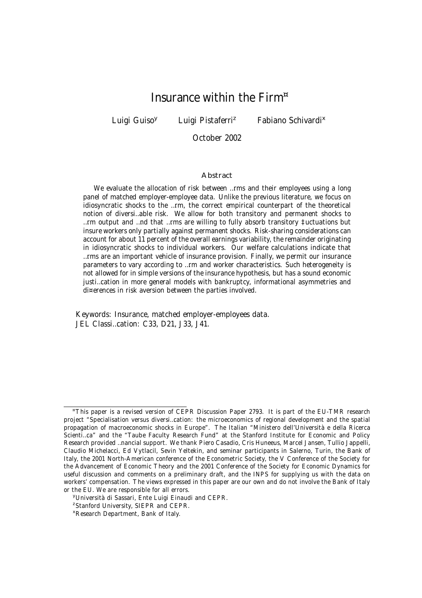# Insurance within the Firm<sup>¤</sup>

Luigi Guiso<sup>y</sup>

Luigi Pistaferri<sup>z</sup>

<sup>z</sup> Fabiano Schivardi<sup>x</sup>

October 2002

#### Abstract

We evaluate the allocation of risk between …rms and their employees using a long panel of matched employer-employee data. Unlike the previous literature, we focus on idiosyncratic shocks to the …rm, the correct empirical counterpart of the theoretical notion of diversi…able risk. We allow for both transitory and permanent shocks to …rm output and …nd that …rms are willing to fully absorb transitory ‡uctuations but insure workers only partially against permanent shocks. Risk-sharing considerations can account for about 11 percent of the overall earnings variability, the remainder originating in idiosyncratic shocks to individual workers. Our welfare calculations indicate that …rms are an important vehicle of insurance provision. Finally, we permit our insurance parameters to vary according to …rm and worker characteristics. Such heterogeneity is not allowed for in simple versions of the insurance hypothesis, but has a sound economic justi…cation in more general models with bankruptcy, informational asymmetries and di¤erences in risk aversion between the parties involved.

Keywords: Insurance, matched employer-employees data. JEL Classi…cation: C33, D21, J33, J41.

<sup>¤</sup>This paper is a revised version of CEPR Discussion Paper 2793. It is part of the EU-TMR research project "Specialisation versus diversi…cation: the microeconomics of regional development and the spatial propagation of macroeconomic shocks in Europe". The Italian "Ministero dell'Università e della Ricerca Scienti…ca" and the "Taube Faculty Research Fund" at the Stanford Institute for Economic and Policy Research provided …nancial support. We thank Piero Casadio, Cris Huneeus, Marcel Jansen, Tullio Jappelli, Claudio Michelacci, Ed Vytlacil, Sevin Yeltekin, and seminar participants in Salerno, Turin, the Bank of Italy, the 2001 North-American conference of the Econometric Society, the V Conference of the Society for the Advancement of Economic Theory and the 2001 Conference of the Society for Economic Dynamics for useful discussion and comments on a preliminary draft, and the INPS for supplying us with the data on workers' compensation. The views expressed in this paper are our own and do not involve the Bank of Italy or the EU. We are responsible for all errors.

<sup>y</sup>Università di Sassari, Ente Luigi Einaudi and CEPR.

<sup>&</sup>lt;sup>z</sup>Stanford University, SIEPR and CEPR.

<sup>x</sup>Research Department, Bank of Italy.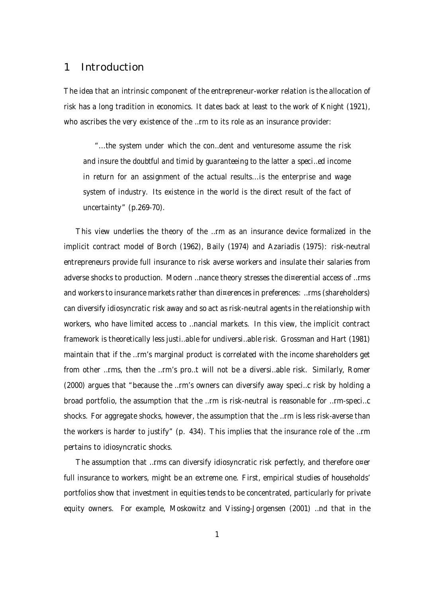## 1 Introduction

The idea that an intrinsic component of the entrepreneur-worker relation is the allocation of risk has a long tradition in economics. It dates back at least to the work of Knight (1921), who ascribes the very existence of the …rm to its role as an insurance provider:

"...the system under which the con…dent and venturesome assume the risk and insure the doubtful and timid by guaranteeing to the latter a speci…ed income in return for an assignment of the actual results...is the enterprise and wage system of industry. Its existence in the world is the direct result of the fact of uncertainty" (p.269-70).

This view underlies the theory of the …rm as an insurance device formalized in the implicit contract model of Borch (1962), Baily (1974) and Azariadis (1975): risk-neutral entrepreneurs provide full insurance to risk averse workers and insulate their salaries from adverse shocks to production. Modern ...nance theory stresses the di¤erential access of ...rms and workers to insurance markets rather than di¤erences in preferences: ...rms (shareholders) can diversify idiosyncratic risk away and so act as risk-neutral agents in the relationship with workers, who have limited access to …nancial markets. In this view, the implicit contract framework is theoretically less justi…able for undiversi…able risk. Grossman and Hart (1981) maintain that if the …rm's marginal product is correlated with the income shareholders get from other …rms, then the …rm's pro…t will not be a diversi…able risk. Similarly, Romer (2000) argues that "because the …rm's owners can diversify away speci…c risk by holding a broad portfolio, the assumption that the …rm is risk-neutral is reasonable for …rm-speci…c shocks. For aggregate shocks, however, the assumption that the …rm is less risk-averse than the workers is harder to justify" (p. 434). This implies that the insurance role of the …rm pertains to idiosyncratic shocks.

The assumption that …rms can diversify idiosyncratic risk perfectly, and therefore o¤er full insurance to workers, might be an extreme one. First, empirical studies of households' portfolios show that investment in equities tends to be concentrated, particularly for private equity owners. For example, Moskowitz and Vissing-Jorgensen (2001) …nd that in the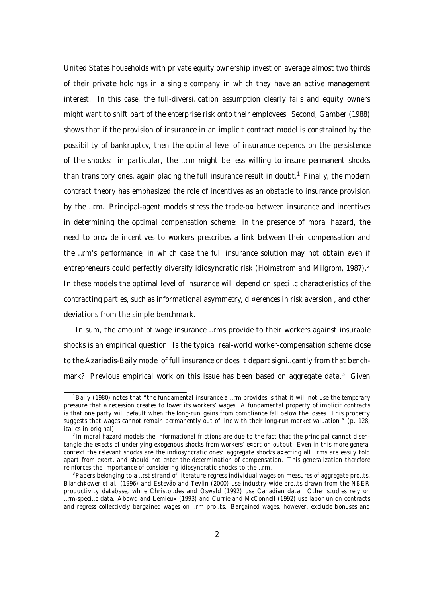United States households with private equity ownership invest on average almost two thirds of their private holdings in a single company in which they have an active management interest. In this case, the full-diversi…cation assumption clearly fails and equity owners might want to shift part of the enterprise risk onto their employees. Second, Gamber (1988) shows that if the provision of insurance in an implicit contract model is constrained by the possibility of bankruptcy, then the optimal level of insurance depends on the persistence of the shocks: in particular, the …rm might be less willing to insure permanent shocks than transitory ones, again placing the full insurance result in doubt.<sup>1</sup> Finally, the modern contract theory has emphasized the role of incentives as an obstacle to insurance provision by the …rm. Principal-agent models stress the trade-o¤ between insurance and incentives in determining the optimal compensation scheme: in the presence of moral hazard, the need to provide incentives to workers prescribes a link between their compensation and the …rm's performance, in which case the full insurance solution may not obtain even if entrepreneurs could perfectly diversify idiosyncratic risk (Holmstrom and Milgrom, 1987).<sup>2</sup> In these models the optimal level of insurance will depend on speci…c characteristics of the contracting parties, such as informational asymmetry, di¤erences in risk aversion , and other deviations from the simple benchmark.

In sum, the amount of wage insurance …rms provide to their workers against insurable shocks is an empirical question. Is the typical real-world worker-compensation scheme close to the Azariadis-Baily model of full insurance or does it depart signi…cantly from that benchmark? Previous empirical work on this issue has been based on aggregate data.<sup>3</sup> Given

<sup>&</sup>lt;sup>1</sup>Baily (1980) notes that "the fundamental insurance a ...rm provides is that it will not use the temporary pressure that a recession creates to lower its workers' wages...A fundamental property of implicit contracts is that one party will default when the long-run gains from compliance fall below the losses. This property suggests that wages cannot remain permanently out of line with their long-run market valuation " (p. 128; italics in original).

<sup>&</sup>lt;sup>2</sup> In moral hazard models the informational frictions are due to the fact that the principal cannot disentangle the e¤ects of underlying exogenous shocks from workers' e¤ort on output. Even in this more general context the relevant shocks are the indiosyncratic ones: aggregate shocks a¤ecting all …rms are easily told apart from e¤ort, and should not enter the determination of compensation. This generalization therefore reinforces the importance of considering idiosyncratic shocks to the …rm.

<sup>&</sup>lt;sup>3</sup>Papers belonging to a …rst strand of literature regress individual wages on measures of aggregate pro…ts. Blanch‡ower et al. (1996) and Estevão and Tevlin (2000) use industry-wide pro…ts drawn from the NBER productivity database, while Christo…des and Oswald (1992) use Canadian data. Other studies rely on …rm-speci…c data. Abowd and Lemieux (1993) and Currie and McConnell (1992) use labor union contracts and regress collectively bargained wages on …rm pro…ts. Bargained wages, however, exclude bonuses and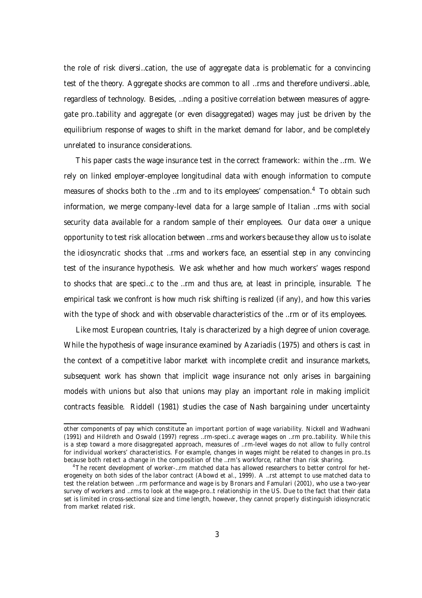the role of risk diversi…cation, the use of aggregate data is problematic for a convincing test of the theory. Aggregate shocks are common to all …rms and therefore undiversi…able, regardless of technology. Besides, …nding a positive correlation between measures of aggregate pro…tability and aggregate (or even disaggregated) wages may just be driven by the equilibrium response of wages to shift in the market demand for labor, and be completely unrelated to insurance considerations.

This paper casts the wage insurance test in the correct framework: within the …rm. We rely on linked employer-employee longitudinal data with enough information to compute measures of shocks both to the ...rm and to its employees' compensation.<sup>4</sup> To obtain such information, we merge company-level data for a large sample of Italian …rms with social security data available for a random sample of their employees. Our data o¤er a unique opportunity to test risk allocation between …rms and workers because they allow us to isolate the idiosyncratic shocks that …rms and workers face, an essential step in any convincing test of the insurance hypothesis. We ask whether and how much workers' wages respond to shocks that are speci…c to the …rm and thus are, at least in principle, insurable. The empirical task we confront is how much risk shifting is realized (if any), and how this varies with the type of shock and with observable characteristics of the ... rm or of its employees.

Like most European countries, Italy is characterized by a high degree of union coverage. While the hypothesis of wage insurance examined by Azariadis (1975) and others is cast in the context of a competitive labor market with incomplete credit and insurance markets, subsequent work has shown that implicit wage insurance not only arises in bargaining models with unions but also that unions may play an important role in making implicit contracts feasible. Riddell (1981) studies the case of Nash bargaining under uncertainty

other components of pay which constitute an important portion of wage variability. Nickell and Wadhwani (1991) and Hildreth and Oswald (1997) regress …rm-speci…c average wages on …rm pro…tability. While this is a step toward a more disaggregated approach, measures of …rm-level wages do not allow to fully control for individual workers' characteristics. For example, changes in wages might be related to changes in pro…ts because both re‡ect a change in the composition of the …rm's workforce, rather than risk sharing.

<sup>&</sup>lt;sup>4</sup>The recent development of worker-...rm matched data has allowed researchers to better control for heterogeneity on both sides of the labor contract (Abowd et al., 1999). A …rst attempt to use matched data to test the relation between …rm performance and wage is by Bronars and Famulari (2001), who use a two-year survey of workers and …rms to look at the wage-pro…t relationship in the US. Due to the fact that their data set is limited in cross-sectional size and time length, however, they cannot properly distinguish idiosyncratic from market related risk.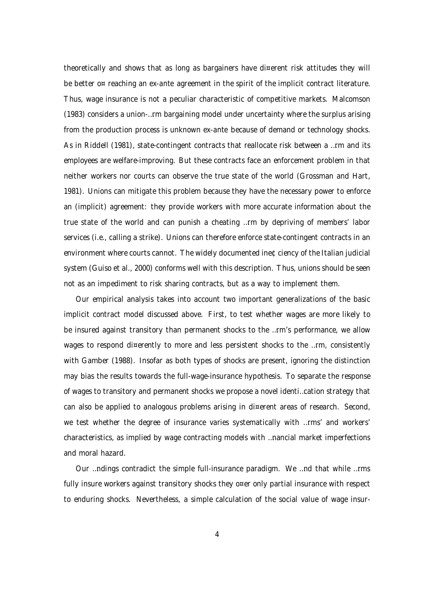theoretically and shows that as long as bargainers have di¤erent risk attitudes they will be better o¤ reaching an ex-ante agreement in the spirit of the implicit contract literature. Thus, wage insurance is not a peculiar characteristic of competitive markets. Malcomson (1983) considers a union-…rm bargaining model under uncertainty where the surplus arising from the production process is unknown ex-ante because of demand or technology shocks. As in Riddell (1981), state-contingent contracts that reallocate risk between a …rm and its employees are welfare-improving. But these contracts face an enforcement problem in that neither workers nor courts can observe the true state of the world (Grossman and Hart, 1981). Unions can mitigate this problem because they have the necessary power to enforce an (implicit) agreement: they provide workers with more accurate information about the true state of the world and can punish a cheating …rm by depriving of members' labor services (i.e., calling a strike). Unions can therefore enforce state-contingent contracts in an environment where courts cannot. The widely documented ine¢ciency of the Italian judicial system (Guiso et al., 2000) conforms well with this description. Thus, unions should be seen not as an impediment to risk sharing contracts, but as a way to implement them.

Our empirical analysis takes into account two important generalizations of the basic implicit contract model discussed above. First, to test whether wages are more likely to be insured against transitory than permanent shocks to the …rm's performance, we allow wages to respond di¤erently to more and less persistent shocks to the ...rm, consistently with Gamber (1988). Insofar as both types of shocks are present, ignoring the distinction may bias the results towards the full-wage-insurance hypothesis. To separate the response of wages to transitory and permanent shocks we propose a novel identi…cation strategy that can also be applied to analogous problems arising in di¤erent areas of research. Second, we test whether the degree of insurance varies systematically with …rms' and workers' characteristics, as implied by wage contracting models with …nancial market imperfections and moral hazard.

Our …ndings contradict the simple full-insurance paradigm. We …nd that while …rms fully insure workers against transitory shocks they o¤er only partial insurance with respect to enduring shocks. Nevertheless, a simple calculation of the social value of wage insur-

4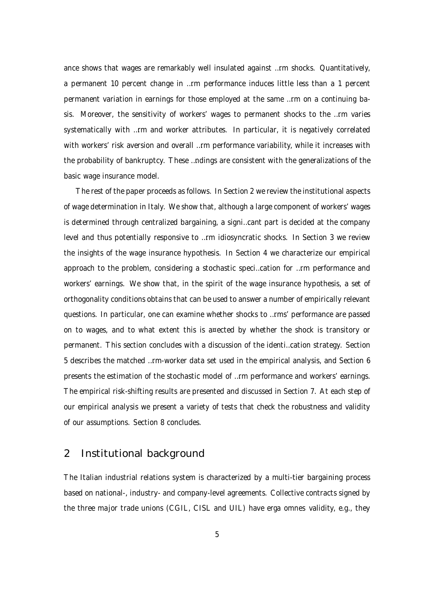ance shows that wages are remarkably well insulated against …rm shocks. Quantitatively, a permanent 10 percent change in …rm performance induces little less than a 1 percent permanent variation in earnings for those employed at the same …rm on a continuing basis. Moreover, the sensitivity of workers' wages to permanent shocks to the …rm varies systematically with …rm and worker attributes. In particular, it is negatively correlated with workers' risk aversion and overall …rm performance variability, while it increases with the probability of bankruptcy. These …ndings are consistent with the generalizations of the basic wage insurance model.

The rest of the paper proceeds as follows. In Section 2 we review the institutional aspects of wage determination in Italy. We show that, although a large component of workers' wages is determined through centralized bargaining, a signi…cant part is decided at the company level and thus potentially responsive to …rm idiosyncratic shocks. In Section 3 we review the insights of the wage insurance hypothesis. In Section 4 we characterize our empirical approach to the problem, considering a stochastic speci…cation for …rm performance and workers' earnings. We show that, in the spirit of the wage insurance hypothesis, a set of orthogonality conditions obtains that can be used to answer a number of empirically relevant questions. In particular, one can examine whether shocks to …rms' performance are passed on to wages, and to what extent this is a¤ected by whether the shock is transitory or permanent. This section concludes with a discussion of the identi…cation strategy. Section 5 describes the matched …rm-worker data set used in the empirical analysis, and Section 6 presents the estimation of the stochastic model of …rm performance and workers' earnings. The empirical risk-shifting results are presented and discussed in Section 7. At each step of our empirical analysis we present a variety of tests that check the robustness and validity of our assumptions. Section 8 concludes.

## 2 Institutional background

The Italian industrial relations system is characterized by a multi-tier bargaining process based on national-, industry- and company-level agreements. Collective contracts signed by the three major trade unions (CGIL, CISL and UIL) have erga omnes validity, e.g., they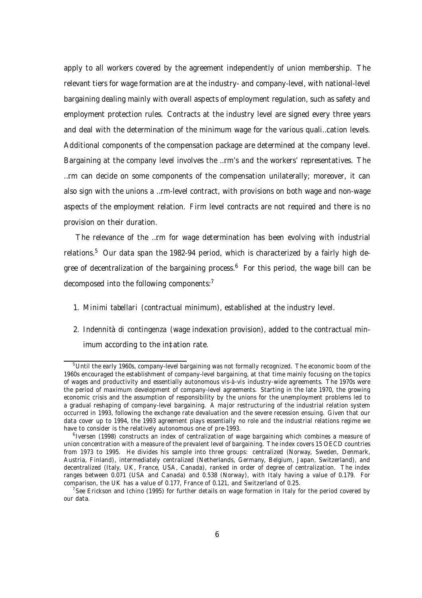apply to all workers covered by the agreement independently of union membership. The relevant tiers for wage formation are at the industry- and company-level, with national-level bargaining dealing mainly with overall aspects of employment regulation, such as safety and employment protection rules. Contracts at the industry level are signed every three years and deal with the determination of the minimum wage for the various quali…cation levels. Additional components of the compensation package are determined at the company level. Bargaining at the company level involves the …rm's and the workers' representatives. The …rm can decide on some components of the compensation unilaterally; moreover, it can also sign with the unions a …rm-level contract, with provisions on both wage and non-wage aspects of the employment relation. Firm level contracts are not required and there is no provision on their duration.

The relevance of the …rm for wage determination has been evolving with industrial relations.<sup>5</sup> Our data span the 1982-94 period, which is characterized by a fairly high degree of decentralization of the bargaining process. <sup>6</sup> For this period, the wage bill can be decomposed into the following components: $^7$ 

- 1. Minimi tabellari (contractual minimum), established at the industry level.
- 2. Indennità di contingenza (wage indexation provision), added to the contractual minimum according to the in‡ation rate.

<sup>&</sup>lt;sup>5</sup>Until the early 1960s, company-level bargaining was not formally recognized. The economic boom of the 1960s encouraged the establishment of company-level bargaining, at that time mainly focusing on the topics of wages and productivity and essentially autonomous vis-à-vis industry-wide agreements. The 1970s were the period of maximum development of company-level agreements. Starting in the late 1970, the growing economic crisis and the assumption of responsibility by the unions for the unemployment problems led to a gradual reshaping of company-level bargaining. A major restructuring of the industrial relation system occurred in 1993, following the exchange rate devaluation and the severe recession ensuing. Given that our data cover up to 1994, the 1993 agreement plays essentially no role and the industrial relations regime we have to consider is the relatively autonomous one of pre-1993.

<sup>&</sup>lt;sup>6</sup> Iversen (1998) constructs an index of centralization of wage bargaining which combines a measure of union concentration with a measure of the prevalent level of bargaining. The index covers 15 OECD countries from 1973 to 1995. He divides his sample into three groups: centralized (Norway, Sweden, Denmark, Austria, Finland), intermediately centralized (Netherlands, Germany, Belgium, Japan, Switzerland), and decentralized (Italy, UK, France, USA, Canada), ranked in order of degree of centralization. The index ranges between 0.071 (USA and Canada) and 0.538 (Norway), with Italy having a value of 0.179. For comparison, the UK has a value of 0.177, France of 0.121, and Switzerland of 0.25.

<sup>&</sup>lt;sup>7</sup> See Erickson and Ichino (1995) for further details on wage formation in Italy for the period covered by our data.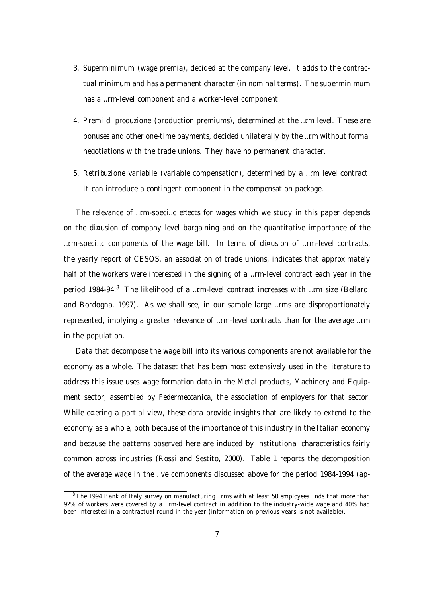- 3. Superminimum (wage premia), decided at the company level. It adds to the contractual minimum and has a permanent character (in nominal terms). The superminimum has a …rm-level component and a worker-level component.
- 4. Premi di produzione (production premiums), determined at the …rm level. These are bonuses and other one-time payments, decided unilaterally by the …rm without formal negotiations with the trade unions. They have no permanent character.
- 5. Retribuzione variabile (variable compensation), determined by a …rm level contract. It can introduce a contingent component in the compensation package.

The relevance of …rm-speci…c e¤ects for wages which we study in this paper depends on the di¤usion of company level bargaining and on the quantitative importance of the  $...$ rm-speci...c components of the wage bill. In terms of di¤usion of ... rm-level contracts, the yearly report of CESOS, an association of trade unions, indicates that approximately half of the workers were interested in the signing of a …rm-level contract each year in the period 1984-94.<sup>8</sup> The likelihood of a …rm-level contract increases with …rm size (Bellardi and Bordogna, 1997). As we shall see, in our sample large …rms are disproportionately represented, implying a greater relevance of …rm-level contracts than for the average …rm in the population.

Data that decompose the wage bill into its various components are not available for the economy as a whole. The dataset that has been most extensively used in the literature to address this issue uses wage formation data in the Metal products, Machinery and Equipment sector, assembled by Federmeccanica, the association of employers for that sector. While o¤ering a partial view, these data provide insights that are likely to extend to the economy as a whole, both because of the importance of this industry in the Italian economy and because the patterns observed here are induced by institutional characteristics fairly common across industries (Rossi and Sestito, 2000). Table 1 reports the decomposition of the average wage in the …ve components discussed above for the period 1984-1994 (ap-

<sup>&</sup>lt;sup>8</sup>The 1994 Bank of Italy survey on manufacturing "rms with at least 50 employees "nds that more than 92% of workers were covered by a …rm-level contract in addition to the industry-wide wage and 40% had been interested in a contractual round in the year (information on previous years is not available).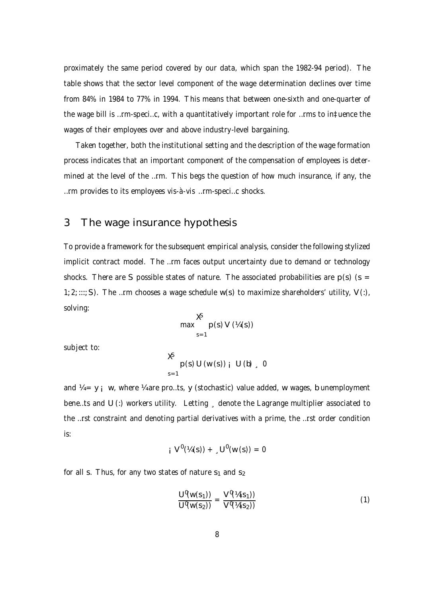proximately the same period covered by our data, which span the 1982-94 period). The table shows that the sector level component of the wage determination declines over time from 84% in 1984 to 77% in 1994. This means that between one-sixth and one-quarter of the wage bill is …rm-speci…c, with a quantitatively important role for …rms to in‡uence the wages of their employees over and above industry-level bargaining.

Taken together, both the institutional setting and the description of the wage formation process indicates that an important component of the compensation of employees is determined at the level of the …rm. This begs the question of how much insurance, if any, the …rm provides to its employees vis-à-vis …rm-speci…c shocks.

## 3 The wage insurance hypothesis

To provide a framework for the subsequent empirical analysis, consider the following stylized implicit contract model. The …rm faces output uncertainty due to demand or technology shocks. There are S possible states of nature. The associated probabilities are  $p(s)$  (s = 1; 2; :::; S). The …rm chooses a wage schedule  $w(s)$  to maximize shareholders' utility, V(:), solving:

$$
\max_{s=1}^{\mathbf{X}} p(s) V(\mathcal{U}(s))
$$

subject to:

$$
\begin{array}{c}\n\mathbf{X} \\
p (s) U (w (s))_{i} U (b)_{i} 0 \\
s=1\n\end{array}
$$

and  $\frac{y}{4} = y$  ; w, where  $\frac{y}{4}$  are pro...ts, y (stochastic) value added, w wages, b unemployment bene...ts and U (:) workers utility. Letting, denote the Lagrange multiplier associated to the …rst constraint and denoting partial derivatives with a prime, the …rst order condition is:

$$
i V^0 (\mathcal{U}(s)) + C_1 U^0 (w(s)) = 0
$$

for all s. Thus, for any two states of nature  $s_1$  and  $s_2$ 

$$
\frac{\mathsf{U}^{\mathsf{0}}(w(s_1))}{\mathsf{U}^{\mathsf{0}}(w(s_2))} = \frac{\mathsf{V}^{\mathsf{0}}(\mathcal{U}(s_1))}{\mathsf{V}^{\mathsf{0}}(\mathcal{U}(s_2))}
$$
(1)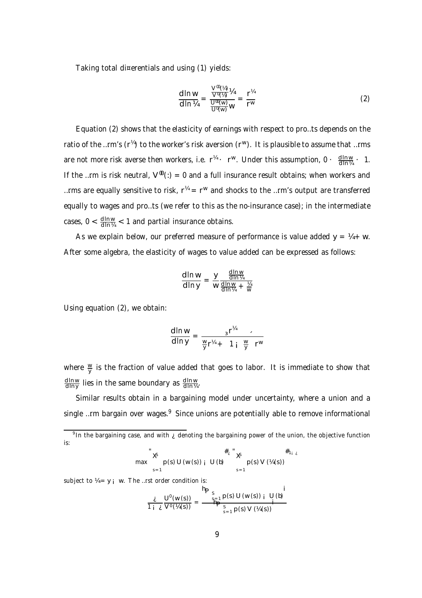Taking total di¤erentials and using (1) yields:

$$
\frac{d \ln w}{d \ln V_4} = \frac{\frac{V^{00}(V_4)}{V^0(V_4)} V_4}{\frac{U^{00}(w)}{U^0(w)} w} = \frac{r^{V_4}}{r^W}
$$
(2)

Equation (2) shows that the elasticity of earnings with respect to pro…ts depends on the ratio of the …rm's (r $^{\%}$ ) to the worker's risk aversion (r $^{\sf w}$ ). It is plausible to assume that …rms are not more risk averse then workers, i.e.  $r^{\frac{1}{4}} \cdot r^{\frac{1}{4}}$ . Under this assumption, 0 ·  $\frac{d \ln w}{d \ln \frac{1}{4}}$  · 1. If the …rm is risk neutral,  $V^{(0)}(t) = 0$  and a full insurance result obtains; when workers and …rms are equally sensitive to risk,  $r^{\prime\!\alpha}$  =  $r^{\prime\!\alpha}$  and shocks to the …rm's output are transferred equally to wages and pro…ts (we refer to this as the no-insurance case); in the intermediate cases,  $0 < \frac{d \ln w}{d \ln w} < 1$  and partial insurance obtains.

As we explain below, our preferred measure of performance is value added  $y = 4 + w$ . After some algebra, the elasticity of wages to value added can be expressed as follows:

$$
\frac{d \ln w}{d \ln y} = \frac{y}{w} \frac{\frac{d \ln w}{d \ln \frac{w}{4}}}{\frac{d \ln w}{d \ln \frac{w}{4}} + \frac{\frac{w}{4}}{w}}
$$

Using equation (2), we obtain:

$$
\frac{\mathrm{d}\ln w}{\mathrm{d}\ln y} = \frac{\mathrm{s}^{r^{1/4}}}{\frac{w}{y}r^{1/4} + 1\mathrm{i} \frac{w}{y}r^{w}}
$$

where  $\frac{w}{y}$  $\frac{w}{y}$  is the fraction of value added that goes to labor. It is immediate to show that <u>d In w</u>  $\frac{\text{d}\ln{\sf{w}}}{\text{d}\ln{\sf{y}}}$  lies in the same boundary as  $\frac{\text{d}\ln{\sf{w}}}{\text{d}\ln{\sf{y}}}$ <u>d in w</u><br>d in ¼ ·

Similar results obtain in a bargaining model under uncertainty, where a union and a single …rm bargain over wages.<sup>9</sup> Since unions are potentially able to remove informational

max  
\n
$$
\sum_{s=1}^{4} \sum_{y=1}^{4} \sum_{y=1}^{4} \sum_{z=1}^{4} \sum_{y=1}^{4} \sum_{z=1}^{4} \sum_{z=1}^{4} \sum_{z=1}^{4} \sum_{z=1}^{4} \sum_{z=1}^{4} \sum_{z=1}^{4} \sum_{z=1}^{4} \sum_{z=1}^{4} \sum_{z=1}^{4} \sum_{z=1}^{4} \sum_{z=1}^{4} \sum_{z=1}^{4} \sum_{z=1}^{4} \sum_{z=1}^{4} \sum_{z=1}^{4} \sum_{z=1}^{4} \sum_{z=1}^{4} \sum_{z=1}^{4} \sum_{z=1}^{4} \sum_{z=1}^{4} \sum_{z=1}^{4} \sum_{z=1}^{4} \sum_{z=1}^{4} \sum_{z=1}^{4} \sum_{z=1}^{4} \sum_{z=1}^{4} \sum_{z=1}^{4} \sum_{z=1}^{4} \sum_{z=1}^{4} \sum_{z=1}^{4} \sum_{z=1}^{4} \sum_{z=1}^{4} \sum_{z=1}^{4} \sum_{z=1}^{4} \sum_{z=1}^{4} \sum_{z=1}^{4} \sum_{z=1}^{4} \sum_{z=1}^{4} \sum_{z=1}^{4} \sum_{z=1}^{4} \sum_{z=1}^{4} \sum_{z=1}^{4} \sum_{z=1}^{4} \sum_{z=1}^{4} \sum_{z=1}^{4} \sum_{z=1}^{4} \sum_{z=1}^{4} \sum_{z=1}^{4} \sum_{z=1}^{4} \sum_{z=1}^{4} \sum_{z=1}^{4} \sum_{z=1}^{4} \sum_{z=1}^{4} \sum_{z=1}^{4} \sum_{z=1}^{4} \sum_{z=1}^{4} \sum_{z=1}^{4} \sum_{z=1}^{4} \sum_{z=1}^{4} \sum_{z=1}^{4} \sum_{z=1}^{4} \sum_{z=1}^{4} \sum_{z=1}^{4} \sum_{z=1}^{4} \sum_{z=1}^{4} \sum_{z=1}^{4} \sum_{z=1}^{4} \sum_{z=1}^{4} \sum_{z=1}^{4} \sum_{z=1}^{4} \sum_{z=1}^{4
$$

subject to  $V_4 = y_i$  w. The ...rst order condition is:

$$
\frac{\partial}{\partial \rho} \frac{U^{\rho}(w(s))}{V^{\rho}(\mu(s))} = \frac{\binom{n}{s-1} p(s) U(w(s))}{\prod_{s=1}^{s-1} p(s) V(\mu(s))} \frac{U(b)}{V^{\rho}(\mu(s))}
$$

 $\ddot{\phantom{a}}$ 

<sup>&</sup>lt;sup>9</sup> In the bargaining case, and with  $\chi$  denoting the bargaining power of the union, the objective function is: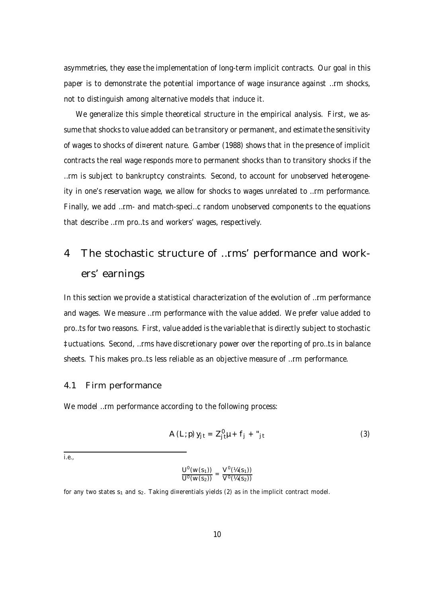asymmetries, they ease the implementation of long-term implicit contracts. Our goal in this paper is to demonstrate the potential importance of wage insurance against …rm shocks, not to distinguish among alternative models that induce it.

We generalize this simple theoretical structure in the empirical analysis. First, we assume that shocks to value added can be transitory or permanent, and estimate the sensitivity of wages to shocks of di¤erent nature. Gamber (1988) shows that in the presence of implicit contracts the real wage responds more to permanent shocks than to transitory shocks if the …rm is subject to bankruptcy constraints. Second, to account for unobserved heterogeneity in one's reservation wage, we allow for shocks to wages unrelated to …rm performance. Finally, we add …rm- and match-speci…c random unobserved components to the equations that describe …rm pro…ts and workers' wages, respectively.

# 4 The stochastic structure of …rms' performance and workers' earnings

In this section we provide a statistical characterization of the evolution of …rm performance and wages. We measure …rm performance with the value added. We prefer value added to pro…ts for two reasons. First, value added is the variable that is directly subject to stochastic ‡uctuations. Second, …rms have discretionary power over the reporting of pro…ts in balance sheets. This makes pro…ts less reliable as an objective measure of …rm performance.

#### 4.1 Firm performance

We model ... rm performance according to the following process:

$$
A(L; p) y_{jt} = Z_{jt}^{\theta} \mu + f_j + \mu_{jt}
$$
 (3)

i.e.,

$$
\frac{U^{\mathfrak{0}}(W(S_1))}{U^{\mathfrak{0}}(W(S_2))} = \frac{V^{\mathfrak{0}}(\mathcal{V}_4(S_1))}{V^{\mathfrak{0}}(\mathcal{V}_4(S_2))}
$$

for any two states  $s_1$  and  $s_2$ . Taking di¤erentials yields (2) as in the implicit contract model.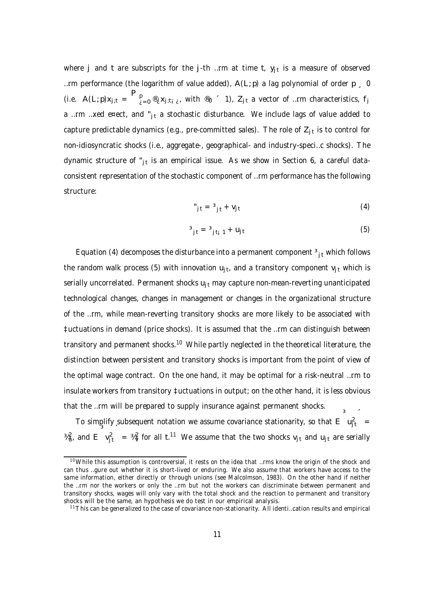where  $\sf j$  and  $\sf t$  are subscripts for the  $\sf j$ -th …rm at time  $\sf t$ ,  $\sf y_{\sf j \sf t}$  is a measure of observed …rm performance (the logarithm of value added),  $A(L;p)$  a lag polynomial of order  $p \neq 0$ (i.e.  $A(L; p)x_{j;t} = \int_{\lambda=0}^{p} \mathcal{L}_{j;t_{j} \lambda}$  with  $\mathcal{L}_{0}$   $\leq$  1),  $Z_{jt}$  a vector of …rm characteristics,  $f_{j}$ a ...rm ...xed e¤ect, and " $_{it}$  a stochastic disturbance. We include lags of value added to capture predictable dynamics (e.g., pre-committed sales). The role of  $Z_{\rm jt}$  is to control for non-idiosyncratic shocks (i.e., aggregate-, geographical- and industry-speci…c shocks). The dynamic structure of "<sub>jt</sub> is an empirical issue. As we show in Section 6, a careful dataconsistent representation of the stochastic component of …rm performance has the following structure:

$$
"j t = {}^{3}j t + Vj t
$$
 (4)

$$
{}^{3}j_{t} = {}^{3}j_{t_{i}} + u_{jt}
$$
 (5)

Equation (4) decomposes the disturbance into a permanent component  $\frac{3}{11}$  which follows the random walk process (5) with innovation  $u_{jt}$ , and a transitory component  $v_{jt}$  which is serially uncorrelated. Permanent shocks  $u_{it}$  may capture non-mean-reverting unanticipated technological changes, changes in management or changes in the organizational structure of the …rm, while mean-reverting transitory shocks are more likely to be associated with ‡uctuations in demand (price shocks). It is assumed that the …rm can distinguish between transitory and permanent shocks.<sup>10</sup> While partly neglected in the theoretical literature, the distinction between persistent and transitory shocks is important from the point of view of the optimal wage contract. On the one hand, it may be optimal for a risk-neutral …rm to insulate workers from transitory ‡uctuations in output; on the other hand, it is less obvious that the …rm will be prepared to supply insurance against permanent shocks.

To simplify subsequent notation we assume covariance stationarity, so that  $\mathsf{E}^-$  u<sub>jt</sub>  $\equiv$  $\frac{3}{4}$ , and E  $v_{jt}^2$ =  $\frac{3}{4}$  for all t.<sup>11</sup> We assume that the two shocks v<sub>jt</sub> and u<sub>jt</sub> are serially

 $10$ While this assumption is controversial, it rests on the idea that ... rms know the origin of the shock and can thus …gure out whether it is short-lived or enduring. We also assume that workers have access to the same information, either directly or through unions (see Malcolmson, 1983). On the other hand if neither the …rm nor the workers or only the …rm but not the workers can discriminate between permanent and transitory shocks, wages will only vary with the total shock and the reaction to permanent and transitory shocks will be the same, an hypothesis we do test in our empirical analysis.

<sup>&</sup>lt;sup>11</sup>This can be generalized to the case of covariance non-stationarity. All identi...cation results and empirical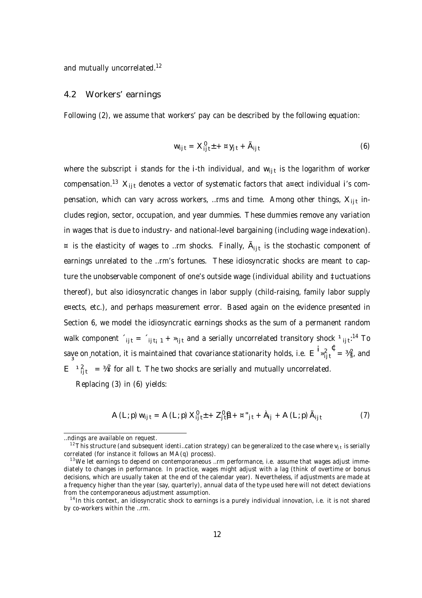and mutually uncorrelated.<sup>12</sup>

#### 4.2 Workers' earnings

Following (2), we assume that workers' pay can be described by the following equation:

$$
W_{ijt} = X_{ijt}^0 + \alpha y_{jt} + \tilde{A}_{ijt}
$$
 (6)

where the subscript i stands for the i-th individual, and w<sub>ijt</sub> is the logarithm of worker compensation.<sup>13</sup>  $\mathsf{X_{ijt}}$  denotes a vector of systematic factors that a¤ect individual i's compensation, which can vary across workers, ...rms and time. Among other things,  $\mathsf{X_{ijt}}$  includes region, sector, occupation, and year dummies. These dummies remove any variation in wages that is due to industry- and national-level bargaining (including wage indexation).  $\alpha$  is the elasticity of wages to ...rm shocks. Finally,  $A_{ijt}$  is the stochastic component of earnings unrelated to the …rm's fortunes. These idiosyncratic shocks are meant to capture the unobservable component of one's outside wage (individual ability and ‡uctuations thereof), but also idiosyncratic changes in labor supply (child-raising, family labor supply e¤ects, etc.), and perhaps measurement error. Based again on the evidence presented in Section 6, we model the idiosyncratic earnings shocks as the sum of a permanent random walk component  $f_{ijt} = f_{ijt_{i}1} + \nu_{ijt}$  and a serially uncorrelated transitory shock  $f_{ijt}$ :<sup>14</sup> To save on notation, it is maintained that covariance stationarity holds, i.e.  $E \frac{1}{2} \int_{ijt}^{2} dx = \frac{3}{4} \int_{i}^{2} dx$ , and  $E^{-1}$ <sup>2</sup>ijt  $=$   $\frac{1}{4}$  for all t. The two shocks are serially and mutually uncorrelated. Replacing (3) in (6) yields:

$$
A(L; p) w_{ijt} = A(L; p) X_{ijt}^{\theta} + Z_{jt}^{\theta} \mathbf{\hat{B}} + \alpha^{*}{}_{jt} + \lambda_{ij} + A(L; p) \tilde{A}_{ijt}
$$
 (7)

<sup>…</sup>ndings are available on request.

<sup>&</sup>lt;sup>12</sup>This structure (and subsequent identi...cation strategy) can be generalized to the case where  $v_{j,t}$  is serially correlated (for instance it follows an MA(q) process).

 $13$ We let earnings to depend on contemporaneous ... rm performance, i.e. assume that wages adjust immediately to changes in performance. In practice, wages might adjust with a lag (think of overtime or bonus decisions, which are usually taken at the end of the calendar year). Nevertheless, if adjustments are made at a frequency higher than the year (say, quarterly), annual data of the type used here will not detect deviations from the contemporaneous adjustment assumption.

<sup>&</sup>lt;sup>14</sup> In this context, an idiosyncratic shock to earnings is a purely individual innovation, i.e. it is not shared by co-workers within the …rm.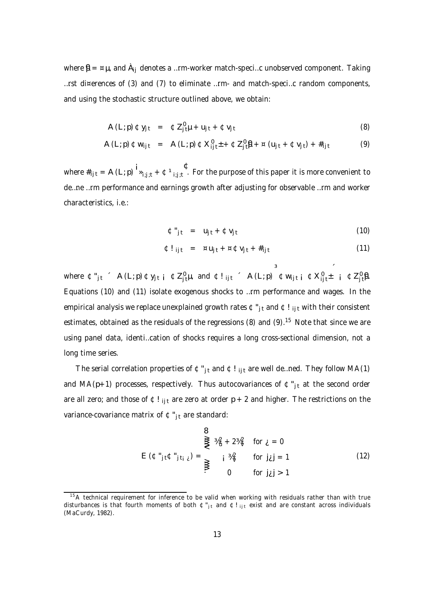where  $\mathbf{\hat{p}} = \alpha \mu$ , and  $\dot{A}_{ii}$  denotes a …rm-worker match-speci…c unobserved component. Taking …rst di¤erences of (3) and (7) to eliminate …rm- and match-speci…c random components, and using the stochastic structure outlined above, we obtain:

$$
A (L; p) \mathfrak{C} y_{jt} = \mathfrak{C} Z_{jt}^{\mathfrak{g}} \mu + u_{jt} + \mathfrak{C} v_{jt}
$$
 (8)

$$
A(L;p) \oplus w_{ijt} = A(L;p) \oplus X_{ijt}^{\emptyset} + \oplus Z_{jt}^{\emptyset} + \boxtimes (u_{jt} + \oplus v_{jt}) + \#_{ijt}
$$
 (9)

where  $\#_{ij\,t} = A\left(L;p\right){\bf 1}_{\rm \bf 2}_{i;j\,;t} + \Phi{\bf 1}_{i;j\,;t}$  . For the purpose of this paper it is more convenient to de…ne …rm performance and earnings growth after adjusting for observable …rm and worker characteristics, i.e.:

$$
\mathfrak{C}^{\prime\prime}{}_{j\,t} = u_{j\,t} + \mathfrak{C}v_{j\,t} \tag{10}
$$

$$
\mathbf{\Phi}!_{ijt} = \mathbf{a} u_{jt} + \mathbf{a} \mathbf{\Phi} v_{jt} + \#_{ijt} \tag{11}
$$

where  $\mathfrak{C}''_{j\,t}$   $\in$   $A(L; p) \oplus y_{j\,t\,j}$   $\oplus$   $Z_{j\,t}^0\mu$ , and  $\oplus$ !<sub>ijt</sub>  $\in$   $A(L; p)$   $\oplus$ w<sub>ijti</sub>  $\oplus$   $X_{ij\,t}^0\pm$   $\oplus$   $Z_{j\,t}^0\beta$ . Equations (10) and (11) isolate exogenous shocks to …rm performance and wages. In the empirical analysis we replace unexplained growth rates  $\mathfrak{C}$ "<sub>it</sub> and  $\mathfrak{C}!$ ! it with their consistent estimates, obtained as the residuals of the regressions (8) and (9).<sup>15</sup> Note that since we are using panel data, identi…cation of shocks requires a long cross-sectional dimension, not a long time series.

The serial correlation properties of  $\mathfrak{C}^*_{j,t}$  and  $\mathfrak{C}!_{ij,t}$  are well de...ned. They follow MA(1) and MA( $p+1$ ) processes, respectively. Thus autocovariances of  $\Leftrightarrow$   $\uparrow$ <sub>it</sub> at the second order are all zero; and those of  $E!_{\text{lit}}$  are zero at order p + 2 and higher. The restrictions on the variance-covariance matrix of  $C_{it}$  are standard:

$$
\begin{aligned}\n\mathbf{B} \\
\underset{\mathbf{y}}{\mathbf{g}}\n\end{aligned}\n\qquad\n\begin{aligned}\n\mathbf{B} \\
\underset{\mathbf{y}}{\mathbf{g}}\n\end{aligned}\n\qquad\n\begin{aligned}\n\mathbf{B} \\
\underset{\mathbf{y}}{\mathbf{g}}\n\end{aligned}\n\qquad\n\begin{aligned}\n\mathbf{B} \\
\underset{\mathbf{y}}{\mathbf{g}}\n\end{aligned}\n\qquad\n\begin{aligned}\n\text{for } \underline{\mathbf{y}} = 0 \\
\underset{\mathbf{y}}{\mathbf{g}}\n\end{aligned}\n\qquad\n\begin{aligned}\n\text{for } \underline{\mathbf{y}} = 0 \\
\text{for } \underline{\mathbf{y}}\underline{\mathbf{j}} = 1\n\end{aligned}\n\qquad\n\begin{aligned}\n\text{(12)}\n\end{aligned}
$$

 $15A$  technical requirement for inference to be valid when working with residuals rather than with true disturbances is that fourth moments of both  $\mathfrak{C}^*_{j,t}$  and  $\mathfrak{C}!_{ijt}$  exist and are constant across individuals (MaCurdy, 1982).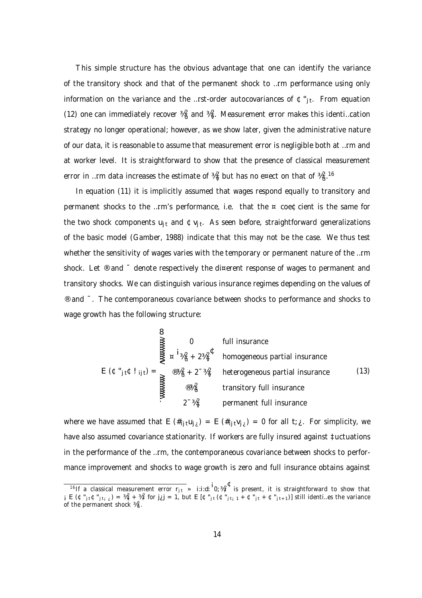This simple structure has the obvious advantage that one can identify the variance of the transitory shock and that of the permanent shock to …rm performance using only information on the variance and the …rst-order autocovariances of  $\mathfrak{C}$ "<sub>jt</sub>. From equation (12) one can immediately recover  $\frac{3}{4}$  and  $\frac{3}{4}$ . Measurement error makes this identi...cation strategy no longer operational; however, as we show later, given the administrative nature of our data, it is reasonable to assume that measurement error is negligible both at …rm and at worker level. It is straightforward to show that the presence of classical measurement error in …rm data increases the estimate of  $\frac{34}{9}$  but has no e¤ect on that of  $\frac{342}{9}$ .  $^{16}$ 

In equation (11) it is implicitly assumed that wages respond equally to transitory and permanent shocks to the …rm's performance, i.e. that the ¤ coe¢cient is the same for the two shock components u<sub>jt</sub> and  $\Phi v_{jt}$ . As seen before, straightforward generalizations of the basic model (Gamber, 1988) indicate that this may not be the case. We thus test whether the sensitivity of wages varies with the temporary or permanent nature of the ...rm shock. Let <sup>®</sup> and <sup>-</sup> denote respectively the di¤erent response of wages to permanent and transitory shocks. We can distinguish various insurance regimes depending on the values of ® and ¯. The contemporaneous covariance between shocks to performance and shocks to wage growth has the following structure:

$$
\sum_{\substack{\text{max} \\ \text{sum} \\ \text{sum} \\ \text{sum} \\ \text{sum} \\ \text{sum} \\ \text{sum} \\ \text{sum} \\ \text{sum} \\ \text{sum} \\ \text{sum} \\ \text{sum} \\ \text{sum} \\ \text{sum} \\ \text{sum} \\ \text{sum} \\ \text{sum} \\ \text{sum} \\ \text{sum} \\ \text{sum} \\ \text{sum} \\ \text{sum} \\ \text{sum} \\ \text{sum} \\ \text{sum} \\ \text{sum} \\ \text{sum} \\ \text{sum} \\ \text{sum} \\ \text{sum} \\ \text{sum} \\ \text{sum} \\ \text{sum} \\ \text{sum} \\ \text{sum} \\ \text{sum} \\ \text{sum} \\ \text{sum} \\ \text{sum} \\ \text{sum} \\ \text{sum} \\ \text{sum} \\ \text{sum} \\ \text{sum} \\ \text{sum} \\ \text{sum} \\ \text{sum} \\ \text{sum} \\ \text{sum} \\ \text{sum} \\ \text{sum} \\ \text{sum} \\ \text{sum} \\ \text{sum} \\ \text{sum} \\ \text{sum} \\ \text{sum} \\ \text{sum} \\ \text{sum} \\ \text{sum} \\ \text{sum} \\ \text{sum} \\ \text{sum} \\ \text{sum} \\ \text{sum} \\ \text{sum} \\ \text{sum} \\ \text{sum} \\ \text{sum} \\ \text{sum} \\ \text{sum} \\ \text{sum} \\ \text{sum} \\ \text{sum} \\ \text{sum} \\ \text{sum} \\ \text{sum} \\ \text{sum} \\ \text{sum} \\ \text{sum} \\ \text{sum} \\ \text{sum} \\ \text{sum} \\ \text{sum} \\ \text{sum} \\ \text{sum} \\ \text{sum} \\ \text{sum} \\ \text{sum} \\ \text{sum} \\ \text{sum} \\ \text{sum} \\ \text{sum} \\ \text{sum} \\ \text{sum} \\ \text{sum} \\ \text{sum} \\ \text{sum} \\ \text{sum} \\ \text{sum} \\ \text{sum} \\ \text{sum} \\ \text{sum} \\ \text{sum} \\ \text{sum} \\ \text{sum} \\ \text{sum} \\ \text{sum} \\ \text{sum} \\ \text{sum} \\ \text{sum} \\ \text{sum} \\ \text{sum} \\ \text{sum} \\ \text{sum} \\ \text{sum} \\ \text{sum} \\ \text{sum} \\ \text{sum} \\ \text{sum} \\ \text{sum} \\ \text{sum} \\ \text{sum} \\ \text{sum} \\ \text{sum} \\ \text{sum
$$

where we have assumed that E  $(\#_{ij}tU_{j\ell}) = E(\#_{ij}tV_{j\ell}) = 0$  for all  $t_i \ell$ . For simplicity, we have also assumed covariance stationarity. If workers are fully insured against ‡uctuations in the performance of the …rm, the contemporaneous covariance between shocks to performance improvement and shocks to wage growth is zero and full insurance obtains against

<sup>&</sup>lt;sup>16</sup>If a classical measurement error  $r_{j,t} \gg$  i:i:d:  $0;$   $\frac{M}{r}^2$  is present, it is straightforward to show that  $\mathbf{f}_i \in (\mathfrak{C}^*_{j\mathfrak{t}} \mathfrak{c}^*_{j\mathfrak{t}}) = \frac{\mathcal{H}_Q^2}{\mathfrak{t}} + \frac{\mathcal{H}_P^2}{\mathfrak{t}}$  for  $j_{\mathcal{L}} j = 1$ , but  $E[\mathfrak{C}^*_{j\mathfrak{t}} (\mathfrak{C}^*_{j\mathfrak{t}}]_{j\mathfrak{t}} + \mathfrak{C}^*_{j\mathfrak{t}}]_{j\mathfrak{t}} + \mathfrak{C}^*_{j\mathfrak{t}}]_{j\mathfrak{t}}$  of the permanent shock  $\frac{1}{4}a^2$ .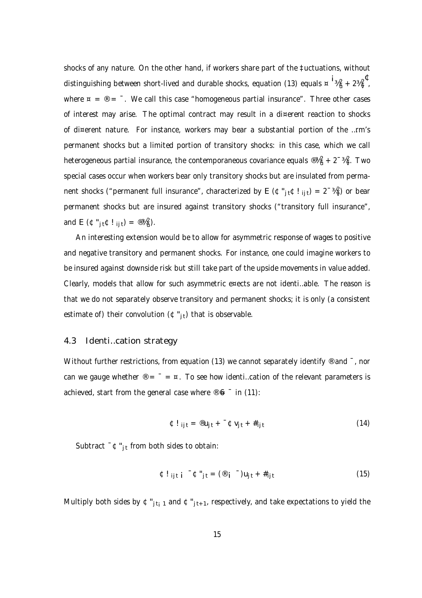shocks of any nature. On the other hand, if workers share part of the ‡uctuations, without distinguishing between short-lived and durable shocks, equation (13) equals  $\frac{\alpha}{4}$   $\frac{1}{4}$   $\frac{3}{4}$   $\frac{2}{4}$   $\frac{\sqrt{2}}{7}$  , where  $\alpha = \omega = -1$ . We call this case "homogeneous partial insurance". Three other cases of interest may arise. The optimal contract may result in a di¤erent reaction to shocks of di¤erent nature. For instance, workers may bear a substantial portion of the …rm's permanent shocks but a limited portion of transitory shocks: in this case, which we call heterogeneous partial insurance, the contemporaneous covariance equals  $@44_u^2$  + 2<sup>-34</sup>v. Two special cases occur when workers bear only transitory shocks but are insulated from permanent shocks ("permanent full insurance", characterized by E ( $\mathfrak{C}$ "<sub>jt</sub> $\mathfrak{C}!$ ! <sub>ijt</sub>) = 2<sup>-3</sup>4<sub>v</sub>) or bear permanent shocks but are insured against transitory shocks ("transitory full insurance", and E ( $\mathfrak{C}$ "jt $\mathfrak{C}!$  ijt) =  $\mathfrak{B}_4^2$ ).

An interesting extension would be to allow for asymmetric response of wages to positive and negative transitory and permanent shocks. For instance, one could imagine workers to be insured against downside risk but still take part of the upside movements in value added. Clearly, models that allow for such asymmetric e¤ects are not identi…able. The reason is that we do not separately observe transitory and permanent shocks; it is only (a consistent estimate of) their convolution  $(\mathfrak{C}^n_{it})$  that is observable.

### 4.3 Identi…cation strategy

Without further restrictions, from equation (13) we cannot separately identify  $\odot$  and  $\ddot{\phantom{a}}$ , nor can we gauge whether  $\mathcal{D} = \overline{a} = \overline{a}$ . To see how identi...cation of the relevant parameters is achieved, start from the general case where  $\mathcal{F}$  6  $^-$  in (11):

$$
\mathbf{\Phi}! \mathbf{i}_{j t} = \mathbf{\Phi} \mathbf{u}_{j t} + \mathbf{\Phi} \mathbf{v}_{j t} + \mathbf{\#}_{i j t} \tag{14}
$$

Subtract  $\bar{C} \oplus \bar{C}_{i,t}$  from both sides to obtain:

$$
\mathbf{\Phi}! \mathbf{i}_{j} \mathbf{i}_{i} \mathbf{i} \mathbf{\Phi}^{\mathbf{u}} \mathbf{j}_{t} = (\mathbf{\Phi} \mathbf{i}_{j} \mathbf{\Phi}^{-}) \mathbf{u}_{j} \mathbf{i}_{t} + \mathbf{\#}_{j} \mathbf{i}_{t} \tag{15}
$$

Multiply both sides by  $\mathfrak{C}''_{j t i 1}$  and  $\mathfrak{C}''_{j t+1}$ , respectively, and take expectations to yield the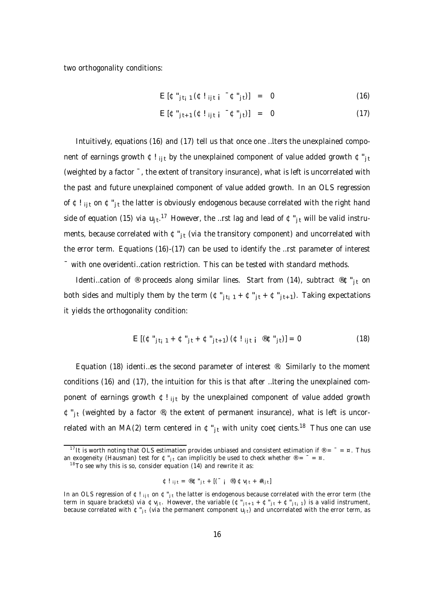two orthogonality conditions:

$$
E [\Phi^{\prime\prime} j_{t_i} (1 + \Phi^{\prime\prime} j_{t_i} j_{t_i} - \Phi^{\prime\prime} j_{t_i})] = 0
$$
 (16)

$$
E\left[\mathbf{\Phi}^{\mathrm{u}}\right]_{t+1}\left(\mathbf{\Phi}^{\mathrm{I}}\right)_{j\,\mathrm{t}}\left|\mathbf{\hat{i}}\right|^{-\mathbf{\Phi}^{\mathrm{u}}}_{j\,\mathrm{t}}\left|\mathbf{\hat{j}}\right| = 0\tag{17}
$$

Intuitively, equations (16) and (17) tell us that once one …lters the unexplained component of earnings growth  $\Phi$ ! ijt by the unexplained component of value added growth  $\Phi_{\text{it}}$ (weighted by a factor ¯, the extent of transitory insurance), what is left is uncorrelated with the past and future unexplained component of value added growth. In an OLS regression of  $E!_{\text{ii}t}$  on  $E"_{it}$  the latter is obviously endogenous because correlated with the right hand side of equation (15) via  $\sf u_{jt}.^{17}$  However, the …rst lag and lead of  $\frak{C''_{jt}}$  will be valid instruments, because correlated with  $\mathfrak{C}^*_{it}$  (via the transitory component) and uncorrelated with the error term. Equations (16)-(17) can be used to identify the …rst parameter of interest ¯ with one overidenti…cation restriction. This can be tested with standard methods.

Identi...cation of ® proceeds along similar lines. Start from (14), subtract ®¢"<sub>it</sub> on both sides and multiply them by the term  $(\mathfrak{C}^*_{j,t+1} + \mathfrak{C}^*_{j,t} + \mathfrak{C}^*_{j,t+1})$ . Taking expectations it yields the orthogonality condition:

$$
E[(\mathfrak{C}^{"j}t_{i} + \mathfrak{C}^{"j}t + \mathfrak{C}^{"j}t_{+1})(\mathfrak{C}!_{ij}t_{i} \mathfrak{C}^{"j}t)] = 0
$$
\n(18)

Equation (18) identi…es the second parameter of interest ®. Similarly to the moment conditions (16) and (17), the intuition for this is that after …ltering the unexplained component of earnings growth  $\mathfrak{C}!$  i<sub>it</sub> by the unexplained component of value added growth  $\mathfrak{C}_{i}^{\prime\prime}$  (weighted by a factor  $\mathfrak{D}_i$ , the extent of permanent insurance), what is left is uncorrelated with an MA(2) term centered in  $\texttt{\texttt{G}}$  "<sub>jt</sub> with unity coe¢cients.<sup>18</sup> Thus one can use

$$
\mathbf{\Phi} \mathbf{I}_{ijt} = \mathbf{\mathbf{\Phi}} \mathbf{\Phi}^{\mathsf{H}}_{jt} + \left[ \begin{pmatrix} 0 & \mathbf{\Phi} \end{pmatrix} \mathbf{\Phi} \mathbf{V}_{jt} + \mathbf{\#}_{ijt} \right]
$$

<sup>&</sup>lt;sup>17</sup>It is worth noting that OLS estimation provides unbiased and consistent estimation if  $\mathcal{P} = \mathcal{P} = \mathcal{P}$ . Thus an exogeneity (Hausman) test for  $\Phi^*_{\bf j \it t}$  can implicitly be used to check whether  $^\circledR =^= \; = \; \times$  .

 $18$ To see why this is so, consider equation (14) and rewrite it as:

In an OLS regression of  $\Phi!$  ijt on  $\Phi"_{jt}$  the latter is endogenous because correlated with the error term (the term in square brackets) via ¢v<sub>jt</sub>. However, the variable (¢"<sub>jt+1</sub> + ¢"<sub>jt</sub> + ¢"<sub>jti</sub>1) is a valid instrument, because correlated with  $\mathfrak{C}$ " $_{\rm j\,t}$  (via the permanent component  $\mathsf{u}_{\rm j\,t})$  and uncorrelated with the error term, as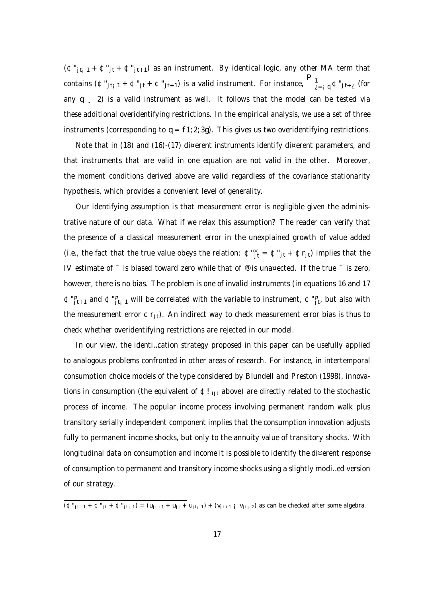$(\mathfrak{C}''_{it_i 1} + \mathfrak{C}''_{it} + \mathfrak{C}''_{it+1})$  as an instrument. By identical logic, any other MA term that contains  $(\Phi^*_{j,t_i-1}+\Phi^*_{j,t+1})$  is a valid instrument. For instance,  $\bigcap\limits_{i=i+1}^n\Phi^*_{j,t+i}$  (for any  $q = 2$ ) is a valid instrument as well. It follows that the model can be tested via these additional overidentifying restrictions. In the empirical analysis, we use a set of three instruments (corresponding to  $q = f1; 2; 3q$ ). This gives us two overidentifying restrictions.

Note that in (18) and (16)-(17) di¤erent instruments identify di¤erent parameters, and that instruments that are valid in one equation are not valid in the other. Moreover, the moment conditions derived above are valid regardless of the covariance stationarity hypothesis, which provides a convenient level of generality.

Our identifying assumption is that measurement error is negligible given the administrative nature of our data. What if we relax this assumption? The reader can verify that the presence of a classical measurement error in the unexplained growth of value added (i.e., the fact that the true value obeys the relation:  $\mathfrak{C}^{\text{in}}_{j}$  =  $\mathfrak{C}^{\text{in}}_{j}$  +  $\mathfrak{C}$ r<sub>jt</sub>) implies that the IV estimate of  $\overline{\phantom{a}}$  is biased toward zero while that of  $\overline{\phantom{a}}$  is una¤ected. If the true  $\overline{\phantom{a}}$  is zero, however, there is no bias. The problem is one of invalid instruments (in equations 16 and 17  $\varphi^{\mathfrak{m}}_{\phantom{i}j\hspace{0.1em}t+1}$  and  $\varphi^{\mathfrak{m}}_{\phantom{i}j\hspace{0.1em}t+1}$  will be correlated with the variable to instrument,  $\varphi^{\mathfrak{m}}_{\phantom{i}j\hspace{0.1em}t+1}$  but also with the measurement error  $\mathfrak{C}r_{\text{it}}$ ). An indirect way to check measurement error bias is thus to check whether overidentifying restrictions are rejected in our model.

In our view, the identi…cation strategy proposed in this paper can be usefully applied to analogous problems confronted in other areas of research. For instance, in intertemporal consumption choice models of the type considered by Blundell and Preston (1998), innovations in consumption (the equivalent of  $E!_{\text{lit}}$  above) are directly related to the stochastic process of income. The popular income process involving permanent random walk plus transitory serially independent component implies that the consumption innovation adjusts fully to permanent income shocks, but only to the annuity value of transitory shocks. With longitudinal data on consumption and income it is possible to identify the di¤erent response of consumption to permanent and transitory income shocks using a slightly modi…ed version of our strategy.

 $\overline{(\Phi_{i_1t+1}^n+\Phi_{i_1t}^n+\Phi_{i_1t+1}^n)}=(u_{j_1t+1}+u_{j_1t}+u_{j_1t+1})+(v_{j_1t+1}+v_{j_1t+2})$  as can be checked after some algebra.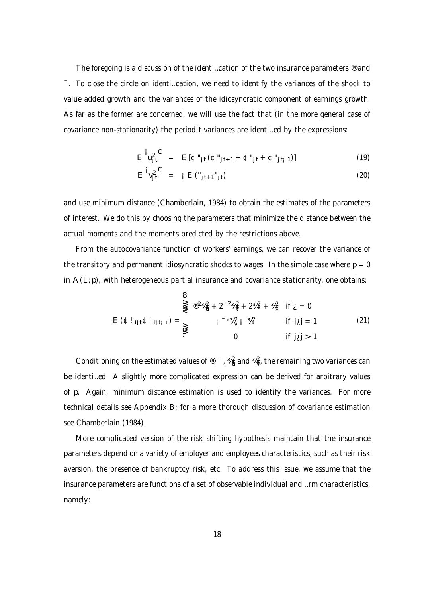The foregoing is a discussion of the identi…cation of the two insurance parameters ® and ¯. To close the circle on identi…cation, we need to identify the variances of the shock to value added growth and the variances of the idiosyncratic component of earnings growth. As far as the former are concerned, we will use the fact that (in the more general case of covariance non-stationarity) the period t variances are identi…ed by the expressions:

$$
E^i u_{jt}^2 = E[\Phi^*_{jt}(\Phi^*_{jt+1} + \Phi^*_{jt} + \Phi^*_{jt+1})]
$$
\n(19)

$$
E^{\mathbf{i}}v_{j\mathbf{t}}^{2\mathbf{t}} = i E("_{j\mathbf{t}+1}^{\mathbf{t}}\mathbf{t})
$$
 (20)

and use minimum distance (Chamberlain, 1984) to obtain the estimates of the parameters of interest. We do this by choosing the parameters that minimize the distance between the actual moments and the moments predicted by the restrictions above.

From the autocovariance function of workers' earnings, we can recover the variance of the transitory and permanent idiosyncratic shocks to wages. In the simple case where  $p = 0$ in  $A(L;p)$ , with heterogeneous partial insurance and covariance stationarity, one obtains:

$$
E(\Phi!_{ij1}\Phi!_{ij1i\;i}) = \sum_{i=1}^{1} \sum_{j=1}^{1} \frac{1}{2} \sum_{j=1}^{1} \frac{1}{2} \sum_{j=1}^{1} \frac{1}{2} \sum_{j=1}^{1} \frac{1}{2} \sum_{j=1}^{1} \frac{1}{2} \sum_{j=1}^{1} \frac{1}{2} \sum_{j=1}^{1} \frac{1}{2} \sum_{j=1}^{1} \frac{1}{2} \sum_{j=1}^{1} \frac{1}{2} \sum_{j=1}^{1} \frac{1}{2} \sum_{j=1}^{1} \frac{1}{2} \sum_{j=1}^{1} \frac{1}{2} \sum_{j=1}^{1} \frac{1}{2} \sum_{j=1}^{1} \frac{1}{2} \sum_{j=1}^{1} \frac{1}{2} \sum_{j=1}^{1} \frac{1}{2} \sum_{j=1}^{1} \frac{1}{2} \sum_{j=1}^{1} \frac{1}{2} \sum_{j=1}^{1} \frac{1}{2} \sum_{j=1}^{1} \frac{1}{2} \sum_{j=1}^{1} \frac{1}{2} \sum_{j=1}^{1} \frac{1}{2} \sum_{j=1}^{1} \frac{1}{2} \sum_{j=1}^{1} \frac{1}{2} \sum_{j=1}^{1} \frac{1}{2} \sum_{j=1}^{1} \frac{1}{2} \sum_{j=1}^{1} \frac{1}{2} \sum_{j=1}^{1} \frac{1}{2} \sum_{j=1}^{1} \frac{1}{2} \sum_{j=1}^{1} \frac{1}{2} \sum_{j=1}^{1} \frac{1}{2} \sum_{j=1}^{1} \frac{1}{2} \sum_{j=1}^{1} \frac{1}{2} \sum_{j=1}^{1} \frac{1}{2} \sum_{j=1}^{1} \frac{1}{2} \sum_{j=1}^{1} \frac{1}{2} \sum_{j=1}^{1} \frac{1}{2} \sum_{j=1}^{1} \frac{1}{2} \sum_{j=1}^{1} \frac{1}{2} \sum_{j=1}^{1} \frac{1}{2} \sum_{j=1}^{1} \frac{1}{2} \sum_{j=1}^{1} \frac{1}{2} \sum_{j=1}^{1} \frac{1}{2
$$

Conditioning on the estimated values of ®,  $^{-}$  ,  $\frac{3}{4}$  and  $\frac{3}{4}$ , the remaining two variances can be identi…ed. A slightly more complicated expression can be derived for arbitrary values of p. Again, minimum distance estimation is used to identify the variances. For more technical details see Appendix B; for a more thorough discussion of covariance estimation see Chamberlain (1984).

More complicated version of the risk shifting hypothesis maintain that the insurance parameters depend on a variety of employer and employees characteristics, such as their risk aversion, the presence of bankruptcy risk, etc. To address this issue, we assume that the insurance parameters are functions of a set of observable individual and …rm characteristics, namely: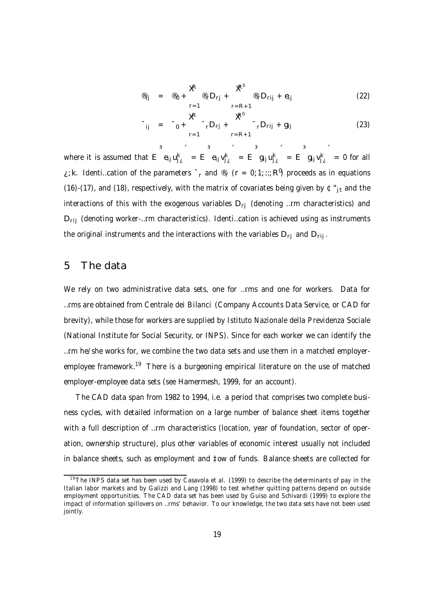$$
\mathscr{E}_{ij} = \mathscr{E}_0 + \sum_{r=1}^{R} \mathscr{E}_{r} D_{rj} + \sum_{r=R+1}^{R^0} \mathscr{E}_r D_{rij} + e_{ij}
$$
(22)

$$
T_{ij} = T_0 + \sum_{r=1}^{R} T_r D_{rj} + \sum_{r=R+1}^{R^0} T_r D_{rij} + g_{ij}
$$
(23)

where it is assumed that E  $e_{ij}u_{j\ell}^k$  $= E e_{ij} v_{j\lambda}^k$  $= E \quad g_{ij} u_{j\lambda}^k$  $= E \quad g_{ij} v_{j\lambda}^k$  $= 0$  for all ¿; k. Identi…cation of the parameters  $\top_{\sf r}$  and  $^\circledR_{\sf r}$  (r = 0; 1; ::; R<sup>0</sup>) proceeds as in equations (16)-(17), and (18), respectively, with the matrix of covariates being given by  $\mathfrak{C}^*_{j}$ t and the interactions of this with the exogenous variables  $D_{rj}$  (denoting ...rm characteristics) and  $D_{\text{rii}}$  (denoting worker-...rm characteristics). Identi...cation is achieved using as instruments the original instruments and the interactions with the variables  $D_{ri}$  and  $D_{rij}$ .

## 5 The data

We rely on two administrative data sets, one for …rms and one for workers. Data for …rms are obtained from Centrale dei Bilanci (Company Accounts Data Service, or CAD for brevity), while those for workers are supplied by Istituto Nazionale della Previdenza Sociale (National Institute for Social Security, or INPS). Since for each worker we can identify the …rm he/she works for, we combine the two data sets and use them in a matched employeremployee framework.<sup>19</sup> There is a burgeoning empirical literature on the use of matched employer-employee data sets (see Hamermesh, 1999, for an account).

The CAD data span from 1982 to 1994, i.e. a period that comprises two complete business cycles, with detailed information on a large number of balance sheet items together with a full description of ...rm characteristics (location, year of foundation, sector of operation, ownership structure), plus other variables of economic interest usually not included in balance sheets, such as employment and ‡ow of funds. Balance sheets are collected for

<sup>&</sup>lt;sup>19</sup>The INPS data set has been used by Casavola et al. (1999) to describe the determinants of pay in the Italian labor markets and by Galizzi and Lang (1998) to test whether quitting patterns depend on outside employment opportunities. The CAD data set has been used by Guiso and Schivardi (1999) to explore the impact of information spillovers on …rms' behavior. To our knowledge, the two data sets have not been used jointly.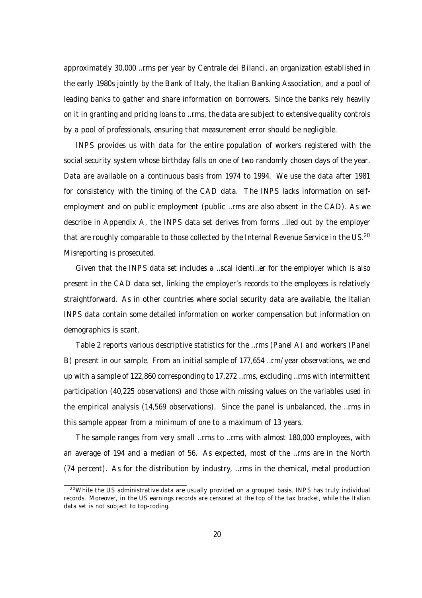approximately 30,000 …rms per year by Centrale dei Bilanci, an organization established in the early 1980s jointly by the Bank of Italy, the Italian Banking Association, and a pool of leading banks to gather and share information on borrowers. Since the banks rely heavily on it in granting and pricing loans to …rms, the data are subject to extensive quality controls by a pool of professionals, ensuring that measurement error should be negligible.

INPS provides us with data for the entire population of workers registered with the social security system whose birthday falls on one of two randomly chosen days of the year. Data are available on a continuous basis from 1974 to 1994. We use the data after 1981 for consistency with the timing of the CAD data. The INPS lacks information on selfemployment and on public employment (public …rms are also absent in the CAD). As we describe in Appendix A, the INPS data set derives from forms …lled out by the employer that are roughly comparable to those collected by the Internal Revenue Service in the US.<sup>20</sup> Misreporting is prosecuted.

Given that the INPS data set includes a …scal identi…er for the employer which is also present in the CAD data set, linking the employer's records to the employees is relatively straightforward. As in other countries where social security data are available, the Italian INPS data contain some detailed information on worker compensation but information on demographics is scant.

Table 2 reports various descriptive statistics for the …rms (Panel A) and workers (Panel B) present in our sample. From an initial sample of 177,654 …rm/year observations, we end up with a sample of 122,860 corresponding to 17,272 …rms, excluding …rms with intermittent participation (40,225 observations) and those with missing values on the variables used in the empirical analysis (14,569 observations). Since the panel is unbalanced, the …rms in this sample appear from a minimum of one to a maximum of 13 years.

The sample ranges from very small …rms to …rms with almost 180,000 employees, with an average of 194 and a median of 56. As expected, most of the …rms are in the North (74 percent). As for the distribution by industry, …rms in the chemical, metal production

 $20$ While the US administrative data are usually provided on a grouped basis, INPS has truly individual records. Moreover, in the US earnings records are censored at the top of the tax bracket, while the Italian data set is not subject to top-coding.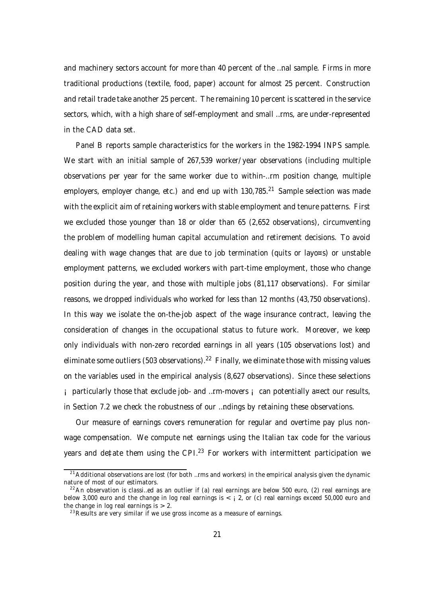and machinery sectors account for more than 40 percent of the …nal sample. Firms in more traditional productions (textile, food, paper) account for almost 25 percent. Construction and retail trade take another 25 percent. The remaining 10 percent is scattered in the service sectors, which, with a high share of self-employment and small …rms, are under-represented in the CAD data set.

Panel B reports sample characteristics for the workers in the 1982-1994 INPS sample. We start with an initial sample of 267,539 worker/year observations (including multiple observations per year for the same worker due to within-…rm position change, multiple employers, employer change, etc.) and end up with 130,785.<sup>21</sup> Sample selection was made with the explicit aim of retaining workers with stable employment and tenure patterns. First we excluded those younger than 18 or older than 65 (2,652 observations), circumventing the problem of modelling human capital accumulation and retirement decisions. To avoid dealing with wage changes that are due to job termination (quits or layo¤s) or unstable employment patterns, we excluded workers with part-time employment, those who change position during the year, and those with multiple jobs (81,117 observations). For similar reasons, we dropped individuals who worked for less than 12 months (43,750 observations). In this way we isolate the on-the-job aspect of the wage insurance contract, leaving the consideration of changes in the occupational status to future work. Moreover, we keep only individuals with non-zero recorded earnings in all years (105 observations lost) and eliminate some outliers (503 observations). $^\mathrm{22}$  Finally, we eliminate those with missing values on the variables used in the empirical analysis (8,627 observations). Since these selections ¡ particularly those that exclude job- and …rm-movers ¡ can potentially a¤ect our results, in Section 7.2 we check the robustness of our …ndings by retaining these observations.

Our measure of earnings covers remuneration for regular and overtime pay plus nonwage compensation. We compute net earnings using the Italian tax code for the various years and de‡ate them using the CPI.<sup>23</sup> For workers with intermittent participation we

 $21$ Additional observations are lost (for both ...rms and workers) in the empirical analysis given the dynamic nature of most of our estimators.

 $22$ An observation is classi...ed as an outlier if (a) real earnings are below 500 euro, (2) real earnings are below 3,000 euro and the change in log real earnings is  $\lt$  i 2, or (c) real earnings exceed 50,000 euro and the change in log real earnings is  $> 2$ .

 $23$  Results are very similar if we use gross income as a measure of earnings.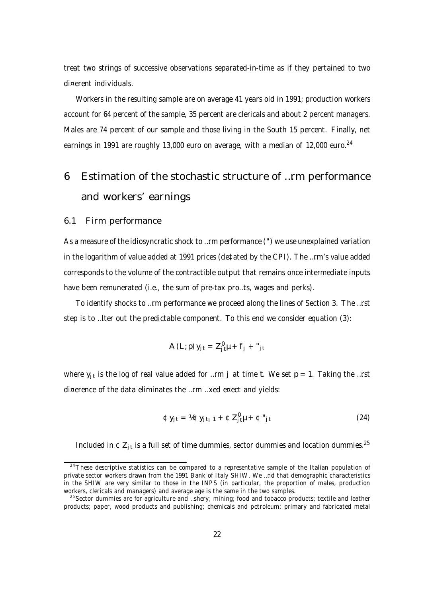treat two strings of successive observations separated-in-time as if they pertained to two di¤erent individuals.

Workers in the resulting sample are on average 41 years old in 1991; production workers account for 64 percent of the sample, 35 percent are clericals and about 2 percent managers. Males are 74 percent of our sample and those living in the South 15 percent. Finally, net earnings in 1991 are roughly 13,000 euro on average, with a median of 12,000 euro.<sup>24</sup>

# 6 Estimation of the stochastic structure of …rm performance and workers' earnings

#### 6.1 Firm performance

As a measure of the idiosyncratic shock to …rm performance (") we use unexplained variation in the logarithm of value added at 1991 prices (de‡ated by the CPI). The …rm's value added corresponds to the volume of the contractible output that remains once intermediate inputs have been remunerated (i.e., the sum of pre-tax pro...ts, wages and perks).

To identify shocks to …rm performance we proceed along the lines of Section 3. The …rst step is to …lter out the predictable component. To this end we consider equation (3):

$$
A(L; p) y_{jt} = Z_{jt}^{\theta} \mu + f_j + "_{jt}
$$

where  $\mathsf{y}_{\mathsf{j}\mathsf{t}}$  is the log of real value added for …rm  $\mathsf{j}\,$  at time t. We set  $\mathsf{p}=1.$  Taking the …rst di¤erence of the data eliminates the …rm …xed e¤ect and yields:

$$
\mathfrak{C}y_{jt} = \mathcal{h}\mathfrak{C}y_{jt} + \mathfrak{C}Z_{jt}^{\mathfrak{g}} + \mathfrak{C}''_{jt}
$$
 (24)

Included in  $\mathfrak{C}Z_{j t}$  is a full set of time dummies, sector dummies and location dummies.<sup>25</sup>

 $24$ These descriptive statistics can be compared to a representative sample of the Italian population of private sector workers drawn from the 1991 Bank of Italy SHIW. We …nd that demographic characteristics in the SHIW are very similar to those in the INPS (in particular, the proportion of males, production workers, clericals and managers) and average age is the same in the two samples.

<sup>&</sup>lt;sup>25</sup> Sector dummies are for agriculture and ...shery; mining; food and tobacco products; textile and leather products; paper, wood products and publishing; chemicals and petroleum; primary and fabricated metal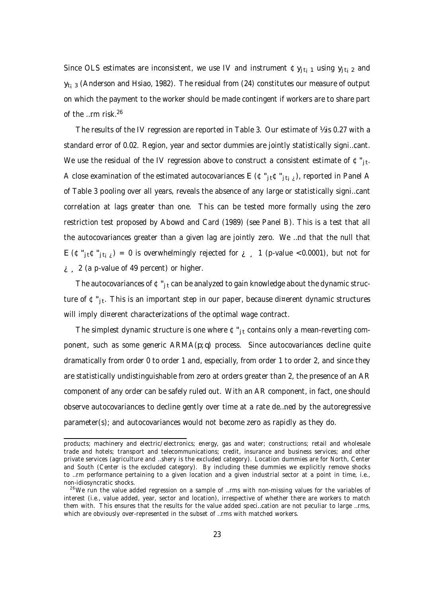Since OLS estimates are inconsistent, we use IV and instrument  $\mathfrak{C}y_{it}$ <sub>1</sub> using  $y_{it}$ <sub>2</sub> and  $y_{ti-3}$  (Anderson and Hsiao, 1982). The residual from (24) constitutes our measure of output on which the payment to the worker should be made contingent if workers are to share part of the …rm risk. 26

The results of the IV regression are reported in Table 3. Our estimate of  $\frac{1}{2}$  is 0.27 with a standard error of 0.02. Region, year and sector dummies are jointly statistically signi…cant. We use the residual of the IV regression above to construct a consistent estimate of  $\mathfrak{c}$  " $_{\rm jt}$ . A close examination of the estimated autocovariances E ( $\mathfrak{C}$ "<sub>itiz</sub>), reported in Panel A of Table 3 pooling over all years, reveals the absence of any large or statistically signi…cant correlation at lags greater than one. This can be tested more formally using the zero restriction test proposed by Abowd and Card (1989) (see Panel B). This is a test that all the autocovariances greater than a given lag are jointly zero. We …nd that the null that  $E(\mathfrak{C}''_{\text{it}},\mathfrak{C}''_{\text{it}}) = 0$  is overwhelmingly rejected for  $i=1$  (p-value <0.0001), but not for  $i \in \{2, 2, 3, 2\}$  (a p-value of 49 percent) or higher.

The autocovariances of  $\mathfrak{C}$ "<sub>it</sub> can be analyzed to gain knowledge about the dynamic structure of ¢"<sub>jt</sub>. This is an important step in our paper, because di¤erent dynamic structures will imply di¤erent characterizations of the optimal wage contract.

The simplest dynamic structure is one where  $\mathfrak{C}^n_{\text{it}}$  contains only a mean-reverting component, such as some generic ARMA(p; q) process. Since autocovariances decline quite dramatically from order 0 to order 1 and, especially, from order 1 to order 2, and since they are statistically undistinguishable from zero at orders greater than 2, the presence of an AR component of any order can be safely ruled out. With an AR component, in fact, one should observe autocovariances to decline gently over time at a rate de…ned by the autoregressive parameter(s); and autocovariances would not become zero as rapidly as they do.

products; machinery and electric/electronics; energy, gas and water; constructions; retail and wholesale trade and hotels; transport and telecommunications; credit, insurance and business services; and other private services (agriculture and …shery is the excluded category). Location dummies are for North, Center and South (Center is the excluded category). By including these dummies we explicitly remove shocks to …rm performance pertaining to a given location and a given industrial sector at a point in time, i.e., non-idiosyncratic shocks.

 $26\text{We run the value added regression on a sample of ...rms with non-missing values for the variables of }$ interest (i.e., value added, year, sector and location), irrespective of whether there are workers to match them with. This ensures that the results for the value added speci…cation are not peculiar to large …rms, which are obviously over-represented in the subset of …rms with matched workers.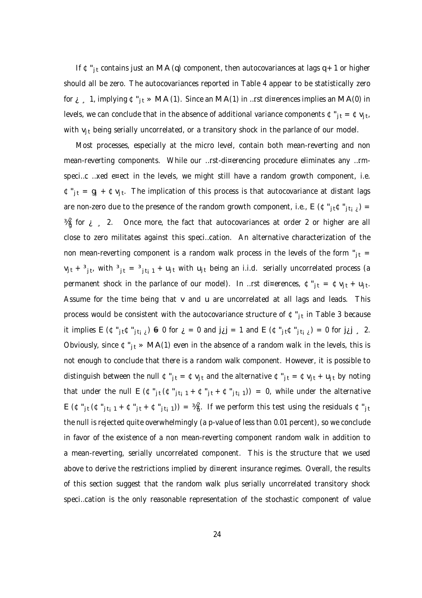If  $\mathfrak{C}''$ <sub>it</sub> contains just an MA (q) component, then autocovariances at lags q + 1 or higher should all be zero. The autocovariances reported in Table 4 appear to be statistically zero for  $i$ , 1, implying  $\mathfrak{C}^n_{j,t}$  » MA(1). Since an MA(1) in …rst di¤erences implies an MA(0) in levels, we can conclude that in the absence of additional variance components  $\mathfrak{C}$  " $_{\rm jt}$  =  $\mathfrak{C}$  v<sub>jt</sub>, with  $v_{it}$  being serially uncorrelated, or a transitory shock in the parlance of our model.

Most processes, especially at the micro level, contain both mean-reverting and non mean-reverting components. While our …rst-di¤erencing procedure eliminates any …rmspeci...c ...xed e¤ect in the levels, we might still have a random growth component, i.e.  $\mathfrak{C}''$ <sub>jt</sub> = g<sub>j</sub> +  $\mathfrak{C}v_{jt}$ . The implication of this process is that autocovariance at distant lags are non-zero due to the presence of the random growth component, i.e.,  $E (\mathfrak{C}^n_{j} \mathfrak{t} \mathfrak{C}^n_{j} \mathfrak{t}_{i}^j) =$  $\frac{1}{4}$  for  $\frac{1}{2}$  , 2. Once more, the fact that autocovariances at order 2 or higher are all close to zero militates against this speci…cation. An alternative characterization of the non mean-reverting component is a random walk process in the levels of the form " $_{it}$  =  $v_{jt}$  +  $^3$ <sub>jt</sub>, with  $^3$ <sub>jt</sub> =  $^3$ <sub>jt<sub>i</sub> 1 + u<sub>jt</sub> with u<sub>jt</sub> being an i.i.d. serially uncorrelated process (a</sub> permanent shock in the parlance of our model). In …rst di¤erences,  $\mathfrak{c}$  " $_{\rm jt}$  =  $\mathfrak{c}$  v<sub>jt</sub> + u<sub>jt</sub>. Assume for the time being that v and u are uncorrelated at all lags and leads. This process would be consistent with the autocovariance structure of  $\mathfrak{C}$ "<sub>jt</sub> in Table 3 because it implies  $E(\mathfrak{C}^*_{j\mathfrak{k}}\mathfrak{C}^*_{j\mathfrak{k}}) = 0$  for  $\mathfrak{c} = 0$  and  $\mathfrak{j}\mathfrak{c} = 1$  and  $E(\mathfrak{C}^*_{j\mathfrak{k}}\mathfrak{C}^*_{j\mathfrak{k}}) = 0$  for  $\mathfrak{j}\mathfrak{c} = 2$ . Obviously, since  $\mathfrak{C}_{i}^{\prime\prime}$  » MA(1) even in the absence of a random walk in the levels, this is not enough to conclude that there is a random walk component. However, it is possible to distinguish between the null  $\mathfrak{C}''_{it} = \mathfrak{C}v_{it}$  and the alternative  $\mathfrak{C}''_{it} = \mathfrak{C}v_{it} + u_{it}$  by noting that under the null  $E (\mathfrak{C}^*_{jt} (\mathfrak{C}^*_{jt-1} + \mathfrak{C}^*_{jt} + \mathfrak{C}^*_{jt-1})) = 0$ , while under the alternative  $E(\Phi''_{jt}(\Phi''_{jt} + \Phi''_{jt} + \Phi''_{jt}))) = \frac{3}{4}$ . If we perform this test using the residuals  $\Phi''_{jt}$ the null is rejected quite overwhelmingly (a p-value of less than 0.01 percent), so we conclude in favor of the existence of a non mean-reverting component random walk in addition to a mean-reverting, serially uncorrelated component. This is the structure that we used above to derive the restrictions implied by di¤erent insurance regimes. Overall, the results of this section suggest that the random walk plus serially uncorrelated transitory shock speci…cation is the only reasonable representation of the stochastic component of value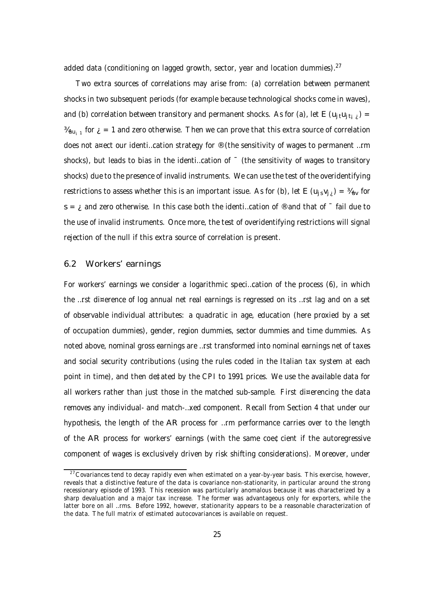added data (conditioning on lagged growth, sector, year and location dummies).<sup>27</sup>

Two extra sources of correlations may arise from: (a) correlation between permanent shocks in two subsequent periods (for example because technological shocks come in waves), and (b) correlation between transitory and permanent shocks. As for (a), let E (u<sub>it</sub>u<sub>itic</sub>) =  $\frac{M_{\mathsf{uu}_\mathsf{i}}}{1}$  for  $_\mathcal{i}=1$  and zero otherwise. Then we can prove that this extra source of correlation does not a¤ect our identi…cation strategy for ® (the sensitivity of wages to permanent …rm shocks), but leads to bias in the identi...cation of  $\bar{a}$  (the sensitivity of wages to transitory shocks) due to the presence of invalid instruments. We can use the test of the overidentifying restrictions to assess whether this is an important issue. As for (b), let E ( $u_i$ <sub>s</sub> $v_i$ ) =  $u_{uv}$  for s =  $\mu$  and zero otherwise. In this case both the identi...cation of  $\odot$  and that of  $\bar{\phantom{a}}$  fail due to the use of invalid instruments. Once more, the test of overidentifying restrictions will signal rejection of the null if this extra source of correlation is present.

### 6.2 Workers' earnings

For workers' earnings we consider a logarithmic speci…cation of the process (6), in which the …rst di¤erence of log annual net real earnings is regressed on its …rst lag and on a set of observable individual attributes: a quadratic in age, education (here proxied by a set of occupation dummies), gender, region dummies, sector dummies and time dummies. As noted above, nominal gross earnings are …rst transformed into nominal earnings net of taxes and social security contributions (using the rules coded in the Italian tax system at each point in time), and then de‡ated by the CPI to 1991 prices. We use the available data for all workers rather than just those in the matched sub-sample. First di¤erencing the data removes any individual- and match-…xed component. Recall from Section 4 that under our hypothesis, the length of the AR process for …rm performance carries over to the length of the AR process for workers' earnings (with the same coe¢cient if the autoregressive component of wages is exclusively driven by risk shifting considerations). Moreover, under

 $27$ Covariances tend to decay rapidly even when estimated on a year-by-year basis. This exercise, however, reveals that a distinctive feature of the data is covariance non-stationarity, in particular around the strong recessionary episode of 1993. This recession was particularly anomalous because it was characterized by a sharp devaluation and a major tax increase. The former was advantageous only for exporters, while the latter bore on all …rms. Before 1992, however, stationarity appears to be a reasonable characterization of the data. The full matrix of estimated autocovariances is available on request.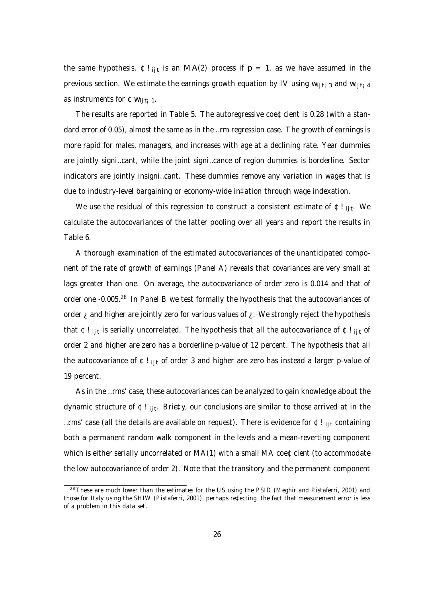the same hypothesis,  $\texttt{\$!i$}$  is an MA(2) process if  $\texttt{p}$  = 1, as we have assumed in the previous section. We estimate the earnings growth equation by IV using  $w_{i_1i_1}$  and  $w_{i_1i_1}$  4 as instruments for  $\mathfrak{Cw}_{i_1i_2\ldots i_n}$ .

The results are reported in Table 5. The autoregressive coe¢cient is 0.28 (with a standard error of 0.05), almost the same as in the …rm regression case. The growth of earnings is more rapid for males, managers, and increases with age at a declining rate. Year dummies are jointly signi…cant, while the joint signi…cance of region dummies is borderline. Sector indicators are jointly insigni…cant. These dummies remove any variation in wages that is due to industry-level bargaining or economy-wide in‡ation through wage indexation.

We use the residual of this regression to construct a consistent estimate of  $\mathfrak{c}$  !  $_{\rm ij\,t}$ . We calculate the autocovariances of the latter pooling over all years and report the results in Table 6.

A thorough examination of the estimated autocovariances of the unanticipated component of the rate of growth of earnings (Panel A) reveals that covariances are very small at lags greater than one. On average, the autocovariance of order zero is 0.014 and that of order one -0.005.<sup>28</sup> In Panel B we test formally the hypothesis that the autocovariances of order  $i$  and higher are jointly zero for various values of  $i$ . We strongly reject the hypothesis that ¢! <sub>ijt</sub> is serially uncorrelated. The hypothesis that all the autocovariance of ¢! <sub>ijt</sub> of order 2 and higher are zero has a borderline p-value of 12 percent. The hypothesis that all the autocovariance of  $E!_{\text{lit}}$  of order 3 and higher are zero has instead a larger p-value of 19 percent.

As in the …rms' case, these autocovariances can be analyzed to gain knowledge about the dynamic structure of ¢! <sub>ijt</sub>. Brie‡y, our conclusions are similar to those arrived at in the ... rms' case (all the details are available on request). There is evidence for  $E_{ijt}$  containing both a permanent random walk component in the levels and a mean-reverting component which is either serially uncorrelated or MA(1) with a small MA coe¢cient (to accommodate the low autocovariance of order 2). Note that the transitory and the permanent component

 $28$ These are much lower than the estimates for the US using the PSID (Meghir and Pistaferri, 2001) and those for Italy using the SHIW (Pistaferri, 2001), perhaps re‡ecting the fact that measurement error is less of a problem in this data set.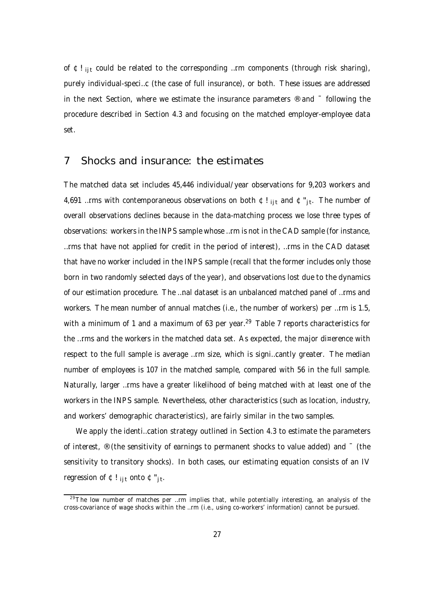of  $E!_{\text{lit}}$  could be related to the corresponding ... rm components (through risk sharing), purely individual-speci…c (the case of full insurance), or both. These issues are addressed in the next Section, where we estimate the insurance parameters  $\mathcal{R}$  and  $\bar{C}$  following the procedure described in Section 4.3 and focusing on the matched employer-employee data set.

## 7 Shocks and insurance: the estimates

The matched data set includes 45,446 individual/year observations for 9,203 workers and 4,691 …rms with contemporaneous observations on both ¢! <sub>ijt</sub> and ¢"<sub>jt</sub>. The number of overall observations declines because in the data-matching process we lose three types of observations: workers in the INPS sample whose …rm is not in the CAD sample (for instance, …rms that have not applied for credit in the period of interest), …rms in the CAD dataset that have no worker included in the INPS sample (recall that the former includes only those born in two randomly selected days of the year), and observations lost due to the dynamics of our estimation procedure. The …nal dataset is an unbalanced matched panel of …rms and workers. The mean number of annual matches (i.e., the number of workers) per …rm is 1.5, with a minimum of 1 and a maximum of 63 per year.<sup>29</sup> Table 7 reports characteristics for the …rms and the workers in the matched data set. As expected, the major di¤erence with respect to the full sample is average …rm size, which is signi…cantly greater. The median number of employees is 107 in the matched sample, compared with 56 in the full sample. Naturally, larger …rms have a greater likelihood of being matched with at least one of the workers in the INPS sample. Nevertheless, other characteristics (such as location, industry, and workers' demographic characteristics), are fairly similar in the two samples.

We apply the identi...cation strategy outlined in Section 4.3 to estimate the parameters of interest,  $\mathcal{O}(n)$  (the sensitivity of earnings to permanent shocks to value added) and  $\mathcal{O}(n)$  (the sensitivity to transitory shocks). In both cases, our estimating equation consists of an IV regression of ¢! <sub>ijt</sub> onto ¢"<sub>jt</sub>.

 $29$ The low number of matches per ...rm implies that, while potentially interesting, an analysis of the cross-covariance of wage shocks within the …rm (i.e., using co-workers' information) cannot be pursued.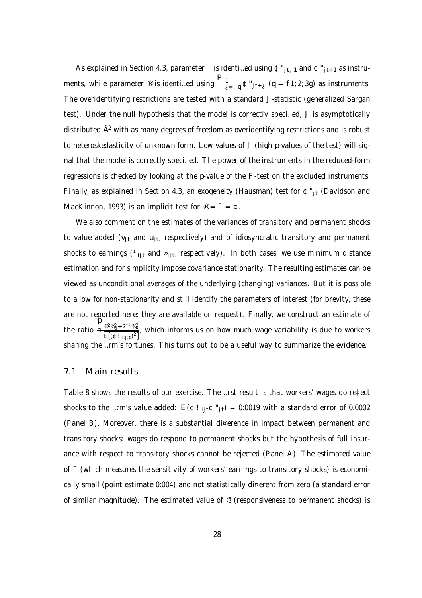As explained in Section 4.3, parameter  $\bar{ }$  is identi...ed using  $\mathfrak{C}''_{j_{t+1}}$  and  $\mathfrak{C}''_{j_{t+1}}$  as instruments, while parameter ® is identi…ed using  $\bigcap_{\lambda=1}^{n} q \oplus j_{1+\lambda}$  (q = f1; 2; 3g) as instruments. The overidentifying restrictions are tested with a standard J-statistic (generalized Sargan test). Under the null hypothesis that the model is correctly speci…ed, J is asymptotically distributed  $\hat{\sf A}^2$  with as many degrees of freedom as overidentifying restrictions and is robust to heteroskedasticity of unknown form. Low values of J (high p-values of the test) will signal that the model is correctly speci…ed. The power of the instruments in the reduced-form regressions is checked by looking at the p-value of the F-test on the excluded instruments. Finally, as explained in Section 4.3, an exogeneity (Hausman) test for  $\mathfrak{C}^*_{j_t}$  (Davidson and MacKinnon, 1993) is an implicit test for  $\mathcal{D} = \mathcal{D} = \mathcal{D}$ .

We also comment on the estimates of the variances of transitory and permanent shocks to value added (v<sub>jt</sub> and u<sub>jt</sub>, respectively) and of idiosyncratic transitory and permanent shocks to earnings (<sup>1</sup><sub>ijt</sub> and »<sub>ijt</sub>, respectively). In both cases, we use minimum distance estimation and for simplicity impose covariance stationarity. The resulting estimates can be viewed as unconditional averages of the underlying (changing) variances. But it is possible to allow for non-stationarity and still identify the parameters of interest (for brevity, these are not reported here; they are available on request). Finally, we construct an estimate of the ratio  $\frac{p_{\frac{\circledR^2\frac{1}{24}}{w}+2^{-2}\frac{1}{24}}}{\text{E}[(\mathop{\rm\mathfrak{C}}\limits^{1}|_{\text{i};\text{j};\text{t}})^2]}$ , which informs us on how much wage variability is due to workers sharing the …rm's fortunes. This turns out to be a useful way to summarize the evidence.

### 7.1 Main results

Table 8 shows the results of our exercise. The …rst result is that workers' wages do re‡ect shocks to the …rm's value added:  $E(\Phi I_{ii\tau} \Phi_{i\tau}^{n}) = 0.0019$  with a standard error of 0.0002 (Panel B). Moreover, there is a substantial di¤erence in impact between permanent and transitory shocks: wages do respond to permanent shocks but the hypothesis of full insurance with respect to transitory shocks cannot be rejected (Panel A). The estimated value of ¯ (which measures the sensitivity of workers' earnings to transitory shocks) is economically small (point estimate 0:004) and not statistically di¤erent from zero (a standard error of similar magnitude). The estimated value of  $\mathcal{O}$  (responsiveness to permanent shocks) is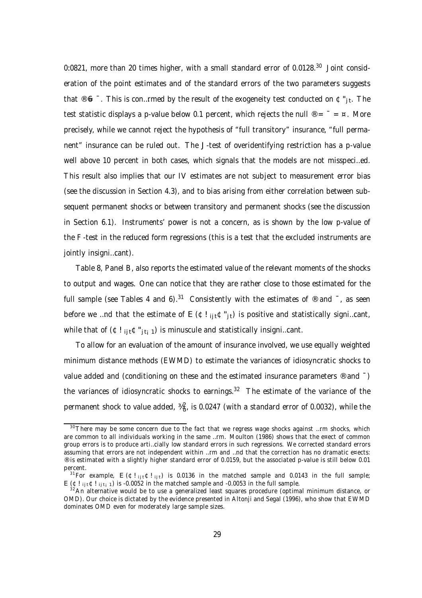0:0821, more than 20 times higher, with a small standard error of 0.0128.<sup>30</sup> Joint consideration of the point estimates and of the standard errors of the two parameters suggests that ® 6  $\bar{\ }$  . This is con…rmed by the result of the exogeneity test conducted on  $\mathfrak{C}$  " $_{\rm jt}$ . The test statistic displays a p-value below 0.1 percent, which rejects the null  $\mathcal{D} = \mathcal{D} = \mathcal{D}$ . More precisely, while we cannot reject the hypothesis of "full transitory" insurance, "full permanent" insurance can be ruled out. The J-test of overidentifying restriction has a p-value well above 10 percent in both cases, which signals that the models are not misspeci…ed. This result also implies that our IV estimates are not subject to measurement error bias (see the discussion in Section 4.3), and to bias arising from either correlation between subsequent permanent shocks or between transitory and permanent shocks (see the discussion in Section 6.1). Instruments' power is not a concern, as is shown by the low p-value of the F-test in the reduced form regressions (this is a test that the excluded instruments are jointly insigni…cant).

Table 8, Panel B, also reports the estimated value of the relevant moments of the shocks to output and wages. One can notice that they are rather close to those estimated for the full sample (see Tables 4 and 6).<sup>31</sup> Consistently with the estimates of ® and  $\overline{\ }$ , as seen before we …nd that the estimate of  $E(\mathfrak{C}!_{\text{it}}\mathfrak{C}"_{\text{it}})$  is positive and statistically signi…cant, while that of  $(\mathfrak{C}!_{i}$ <sub>it</sub> $\mathfrak{C}^*_{i}$ <sub>ti1</sub>) is minuscule and statistically insigni…cant.

To allow for an evaluation of the amount of insurance involved, we use equally weighted minimum distance methods (EWMD) to estimate the variances of idiosyncratic shocks to value added and (conditioning on these and the estimated insurance parameters ® and  $\bar{ }$ ) the variances of idiosyncratic shocks to earnings.<sup>32</sup> The estimate of the variance of the permanent shock to value added,  $\frac{3}{4}$ , is 0.0247 (with a standard error of 0.0032), while the

 $30$ There may be some concern due to the fact that we regress wage shocks against ... rm shocks, which are common to all individuals working in the same …rm. Moulton (1986) shows that the e¤ect of common group errors is to produce arti…cially low standard errors in such regressions. We corrected standard errors assuming that errors are not independent within …rm and …nd that the correction has no dramatic e¤ects: ® is estimated with a slightly higher standard error of 0.0159, but the associated p-value is still below 0.01 percent.

<sup>&</sup>lt;sup>31</sup>For example, E ( $\text{C}!_{\text{ijt}}\text{C}!_{\text{ijt}}$ ) is 0.0136 in the matched sample and 0.0143 in the full sample; E ( $\text{\textcircled{t}}$ ! ijt $\text{\textcircled{t}}$  ijt<sub>i</sub> 1) is -0.0052 in the matched sample and -0.0053 in the full sample.

 $32$ An alternative would be to use a generalized least squares procedure (optimal minimum distance, or OMD). Our choice is dictated by the evidence presented in Altonji and Segal (1996), who show that EWMD dominates OMD even for moderately large sample sizes.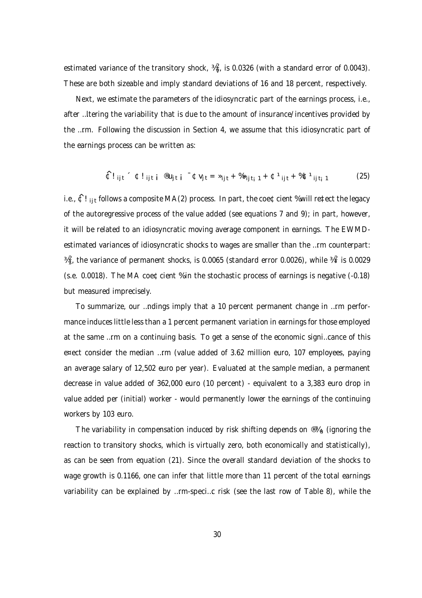estimated variance of the transitory shock,  $\frac{1}{4}x$ , is 0.0326 (with a standard error of 0.0043). These are both sizeable and imply standard deviations of 16 and 18 percent, respectively.

Next, we estimate the parameters of the idiosyncratic part of the earnings process, i.e., after …ltering the variability that is due to the amount of insurance/incentives provided by the …rm. Following the discussion in Section 4, we assume that this idiosyncratic part of the earnings process can be written as:

$$
\hat{\mathbb{C}}!_{ijt} \hat{\mathbb{C}}!_{ijt} \hat{\mathbb{C}}!_{ijt} \hat{\mathbb{C}} \hat{\mathbb{C}} \mathbb{U}_{jt} = \hat{\mathbb{C}} \mathbb{V}_{jt} = \hat{\mathbb{C}} \mathbb{V}_{jt} + \hat{\mathbb{C}} \hat{\mathbb{C}} \mathbb{V}_{ijt} + \hat{\mathbb{C}} \hat{\mathbb{C}} \mathbb{V}_{ijt} + \hat{\mathbb{C}} \hat{\mathbb{C}} \mathbb{V}_{ijt} \tag{25}
$$

i.e.,  $\hat{\mathfrak{C}}!$  i<sub>it</sub> follows a composite MA(2) process. In part, the coe¢cient % will re‡ect the legacy of the autoregressive process of the value added (see equations 7 and 9); in part, however, it will be related to an idiosyncratic moving average component in earnings. The EWMDestimated variances of idiosyncratic shocks to wages are smaller than the …rm counterpart:  $\frac{3}{4}$ , the variance of permanent shocks, is 0.0065 (standard error 0.0026), while  $\frac{3}{4}$  is 0.0029 (s.e. 0.0018). The MA coe¢cient % in the stochastic process of earnings is negative (-0.18) but measured imprecisely.

To summarize, our …ndings imply that a 10 percent permanent change in …rm performance induces little less than a 1 percent permanent variation in earnings for those employed at the same …rm on a continuing basis. To get a sense of the economic signi…cance of this e¤ect consider the median …rm (value added of 3.62 million euro, 107 employees, paying an average salary of 12,502 euro per year). Evaluated at the sample median, a permanent decrease in value added of 362,000 euro (10 percent) - equivalent to a 3,383 euro drop in value added per (initial) worker - would permanently lower the earnings of the continuing workers by 103 euro.

The variability in compensation induced by risk shifting depends on  $\mathcal{B}X_{\mathsf{u}}$  (ignoring the reaction to transitory shocks, which is virtually zero, both economically and statistically), as can be seen from equation (21). Since the overall standard deviation of the shocks to wage growth is 0.1166, one can infer that little more than 11 percent of the total earnings variability can be explained by …rm-speci…c risk (see the last row of Table 8), while the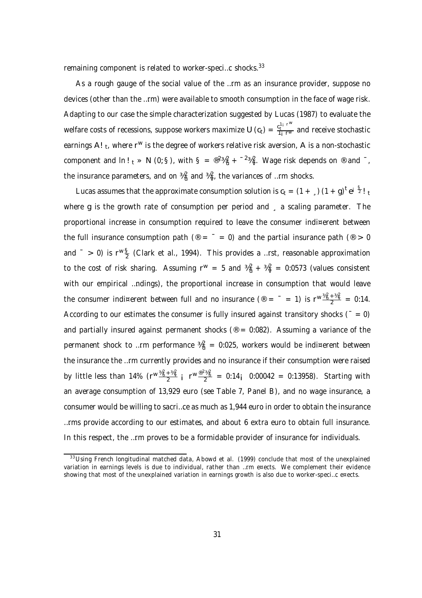remaining component is related to worker-speci...c shocks.<sup>33</sup>

As a rough gauge of the social value of the …rm as an insurance provider, suppose no devices (other than the …rm) were available to smooth consumption in the face of wage risk. Adapting to our case the simple characterization suggested by Lucas (1987) to evaluate the welfare costs of recessions, suppose workers maximize U (c<sub>t</sub>) =  $\frac{c_t^{1_i\;r^w}}{1_i\;r^w}$  and receive stochastic earnings A!  $_{\rm t}$ , where r<sup>w</sup> is the degree of workers relative risk aversion, A is a non-stochastic component and  $ln!$ <sub>t</sub>  $\gg N$  (0; §), with  $S = \frac{\otimes 2\frac{1}{4}}{N} + \frac{-2\frac{1}{4}}{N}$ . Wage risk depends on  $\otimes$  and  $\bar{ }$ , the insurance parameters, and on  $\frac{3}{4}$  and  $\frac{3}{4}$ , the variances of ... rm shocks.

Lucas assumes that the approximate consumption solution is  $c_t = (1 + \frac{1}{2}) (1 + g)^t e^{i \frac{S}{2} t}$ where g is the growth rate of consumption per period and east caling parameter. The proportional increase in consumption required to leave the consumer indi¤erent between the full insurance consumption path ( $\mathcal{P} = \mathcal{P} = 0$ ) and the partial insurance path ( $\mathcal{P} > 0$ and  $\bar{a}$  > 0) is r $w \frac{S}{2}$  (Clark et al., 1994). This provides a …rst, reasonable approximation to the cost of risk sharing. Assuming  $r^w = 5$  and  $\frac{3}{4}a^2 + \frac{3}{4}a^2 = 0.0573$  (values consistent with our empirical ...ndings), the proportional increase in consumption that would leave the consumer indi¤erent between full and no insurance (® =  $^-$  = 1) is  $r^w\frac{\frac{3}{4}a^2+\frac{3}{4}a^2}{2}$  = 0:14. According to our estimates the consumer is fully insured against transitory shocks ( $= 0$ ) and partially insured against permanent shocks ( $\textdegree = 0.082$ ). Assuming a variance of the permanent shock to …rm performance  $\frac{1}{4}a_0^2 = 0.025$ , workers would be indi¤erent between the insurance the …rm currently provides and no insurance if their consumption were raised by little less than 14% (r $w \frac{\frac{3}{4} + \frac{3}{4} \frac{2}{y}}{2}$  j r $w \frac{\frac{@2\frac{3}{4} \frac{2}{y}}{2}}{2}$  = 0:14j 0:00042 = 0:13958). Starting with an average consumption of 13,929 euro (see Table 7, Panel B), and no wage insurance, a consumer would be willing to sacri…ce as much as 1,944 euro in order to obtain the insurance …rms provide according to our estimates, and about 6 extra euro to obtain full insurance. In this respect, the …rm proves to be a formidable provider of insurance for individuals.

<sup>&</sup>lt;sup>33</sup>Using French longitudinal matched data, Abowd et al. (1999) conclude that most of the unexplained variation in earnings levels is due to individual, rather than …rm e¤ects. We complement their evidence showing that most of the unexplained variation in earnings growth is also due to worker-speci…c e¤ects.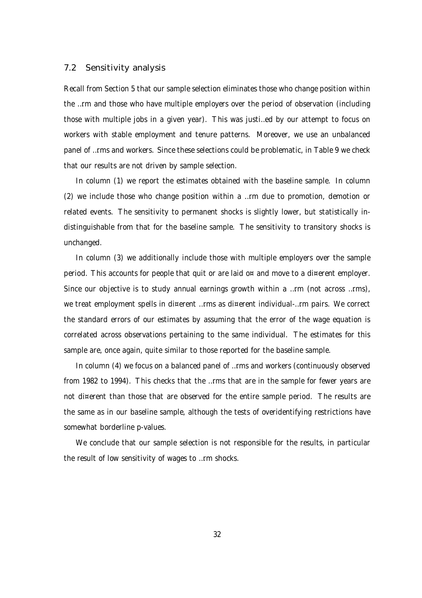#### 7.2 Sensitivity analysis

Recall from Section 5 that our sample selection eliminates those who change position within the …rm and those who have multiple employers over the period of observation (including those with multiple jobs in a given year). This was justi…ed by our attempt to focus on workers with stable employment and tenure patterns. Moreover, we use an unbalanced panel of …rms and workers. Since these selections could be problematic, in Table 9 we check that our results are not driven by sample selection.

In column (1) we report the estimates obtained with the baseline sample. In column (2) we include those who change position within a …rm due to promotion, demotion or related events. The sensitivity to permanent shocks is slightly lower, but statistically indistinguishable from that for the baseline sample. The sensitivity to transitory shocks is unchanged.

In column (3) we additionally include those with multiple employers over the sample period. This accounts for people that quit or are laid o¤ and move to a di¤erent employer. Since our objective is to study annual earnings growth within a ...rm (not across ...rms), we treat employment spells in di¤erent …rms as di¤erent individual-…rm pairs. We correct the standard errors of our estimates by assuming that the error of the wage equation is correlated across observations pertaining to the same individual. The estimates for this sample are, once again, quite similar to those reported for the baseline sample.

In column (4) we focus on a balanced panel of …rms and workers (continuously observed from 1982 to 1994). This checks that the …rms that are in the sample for fewer years are not di¤erent than those that are observed for the entire sample period. The results are the same as in our baseline sample, although the tests of overidentifying restrictions have somewhat borderline p-values.

We conclude that our sample selection is not responsible for the results, in particular the result of low sensitivity of wages to …rm shocks.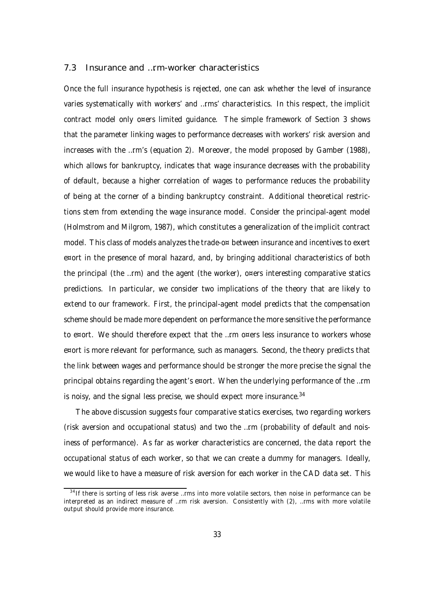#### 7.3 Insurance and …rm-worker characteristics

Once the full insurance hypothesis is rejected, one can ask whether the level of insurance varies systematically with workers' and …rms' characteristics. In this respect, the implicit contract model only o¤ers limited guidance. The simple framework of Section 3 shows that the parameter linking wages to performance decreases with workers' risk aversion and increases with the …rm's (equation 2). Moreover, the model proposed by Gamber (1988), which allows for bankruptcy, indicates that wage insurance decreases with the probability of default, because a higher correlation of wages to performance reduces the probability of being at the corner of a binding bankruptcy constraint. Additional theoretical restrictions stem from extending the wage insurance model. Consider the principal-agent model (Holmstrom and Milgrom, 1987), which constitutes a generalization of the implicit contract model. This class of models analyzes the trade-o¤ between insurance and incentives to exert e¤ort in the presence of moral hazard, and, by bringing additional characteristics of both the principal (the …rm) and the agent (the worker), o¤ers interesting comparative statics predictions. In particular, we consider two implications of the theory that are likely to extend to our framework. First, the principal-agent model predicts that the compensation scheme should be made more dependent on performance the more sensitive the performance to e¤ort. We should therefore expect that the ...rm o¤ers less insurance to workers whose e¤ort is more relevant for performance, such as managers. Second, the theory predicts that the link between wages and performance should be stronger the more precise the signal the principal obtains regarding the agent's e¤ort. When the underlying performance of the …rm is noisy, and the signal less precise, we should expect more insurance.<sup>34</sup>

The above discussion suggests four comparative statics exercises, two regarding workers (risk aversion and occupational status) and two the …rm (probability of default and noisiness of performance). As far as worker characteristics are concerned, the data report the occupational status of each worker, so that we can create a dummy for managers. Ideally, we would like to have a measure of risk aversion for each worker in the CAD data set. This

<sup>&</sup>lt;sup>34</sup> If there is sorting of less risk averse …rms into more volatile sectors, then noise in performance can be interpreted as an indirect measure of …rm risk aversion. Consistently with (2), …rms with more volatile output should provide more insurance.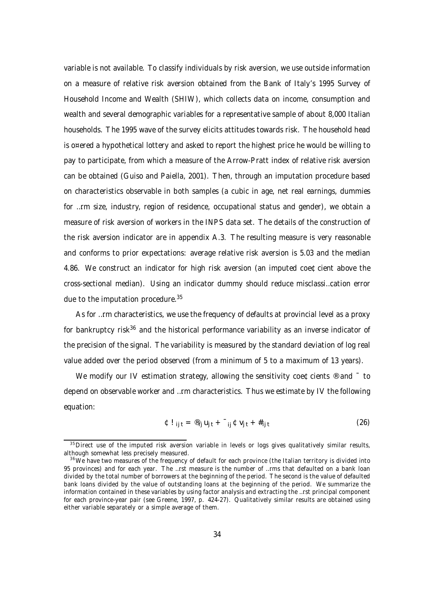variable is not available. To classify individuals by risk aversion, we use outside information on a measure of relative risk aversion obtained from the Bank of Italy's 1995 Survey of Household Income and Wealth (SHIW), which collects data on income, consumption and wealth and several demographic variables for a representative sample of about 8,000 Italian households. The 1995 wave of the survey elicits attitudes towards risk. The household head is o¤ered a hypothetical lottery and asked to report the highest price he would be willing to pay to participate, from which a measure of the Arrow-Pratt index of relative risk aversion can be obtained (Guiso and Paiella, 2001). Then, through an imputation procedure based on characteristics observable in both samples (a cubic in age, net real earnings, dummies for …rm size, industry, region of residence, occupational status and gender), we obtain a measure of risk aversion of workers in the INPS data set. The details of the construction of the risk aversion indicator are in appendix A.3. The resulting measure is very reasonable and conforms to prior expectations: average relative risk aversion is 5.03 and the median 4.86. We construct an indicator for high risk aversion (an imputed coe¢cient above the cross-sectional median). Using an indicator dummy should reduce misclassi…cation error due to the imputation procedure.<sup>35</sup>

As for …rm characteristics, we use the frequency of defaults at provincial level as a proxy for bankruptcy risk<sup>36</sup> and the historical performance variability as an inverse indicator of the precision of the signal. The variability is measured by the standard deviation of log real value added over the period observed (from a minimum of 5 to a maximum of 13 years).

We modify our IV estimation strategy, allowing the sensitivity coe $\text{\texttt{C}cients} \otimes \text{and}^{-1}$  to depend on observable worker and …rm characteristics. Thus we estimate by IV the following equation:

$$
\Phi I_{ijt} = \mathcal{D}_{ij} U_{jt} + \mathcal{L}_{ij} \Phi V_{jt} + \#_{ijt}
$$
 (26)

 $35$ Direct use of the imputed risk aversion variable in levels or logs gives qualitatively similar results, although somewhat less precisely measured.

<sup>&</sup>lt;sup>36</sup>We have two measures of the frequency of default for each province (the Italian territory is divided into 95 provinces) and for each year. The …rst measure is the number of …rms that defaulted on a bank loan divided by the total number of borrowers at the beginning of the period. The second is the value of defaulted bank loans divided by the value of outstanding loans at the beginning of the period. We summarize the information contained in these variables by using factor analysis and extracting the …rst principal component for each province-year pair (see Greene, 1997, p. 424-27). Qualitatively similar results are obtained using either variable separately or a simple average of them.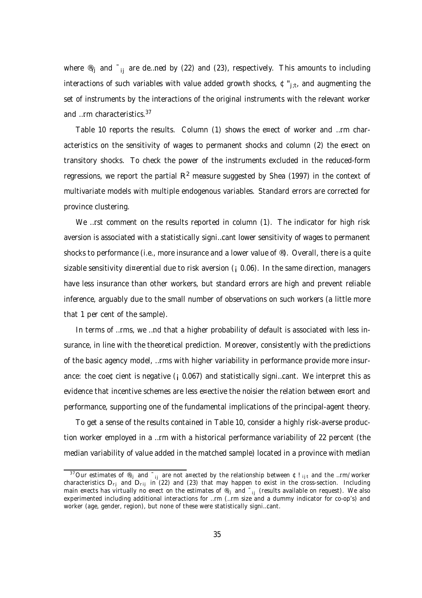where  $\mathcal{P}_{ii}$  and  $\mathcal{F}_{ii}$  are de…ned by (22) and (23), respectively. This amounts to including interactions of such variables with value added growth shocks,  $\mathfrak{C}$ "<sub>j;t</sub>, and augmenting the set of instruments by the interactions of the original instruments with the relevant worker and …rm characteristics.<sup>37</sup>

Table 10 reports the results. Column (1) shows the e¤ect of worker and …rm characteristics on the sensitivity of wages to permanent shocks and column (2) the e¤ect on transitory shocks. To check the power of the instruments excluded in the reduced-form regressions, we report the partial  $R^2$  measure suggested by Shea (1997) in the context of multivariate models with multiple endogenous variables. Standard errors are corrected for province clustering.

We ... rst comment on the results reported in column (1). The indicator for high risk aversion is associated with a statistically signi…cant lower sensitivity of wages to permanent shocks to performance (i.e., more insurance and a lower value of  $\mathcal{O}(8)$ ). Overall, there is a quite sizable sensitivity di¤erential due to risk aversion  $(i 0.06)$ . In the same direction, managers have less insurance than other workers, but standard errors are high and prevent reliable inference, arguably due to the small number of observations on such workers (a little more that 1 per cent of the sample).

In terms of …rms, we …nd that a higher probability of default is associated with less insurance, in line with the theoretical prediction. Moreover, consistently with the predictions of the basic agency model, …rms with higher variability in performance provide more insurance: the coe $\text{\texttt{C}}$ cient is negative ( $\text{I}$  0.067) and statistically signi...cant. We interpret this as evidence that incentive schemes are less e¤ective the noisier the relation between e¤ort and performance, supporting one of the fundamental implications of the principal-agent theory.

To get a sense of the results contained in Table 10, consider a highly risk-averse production worker employed in a …rm with a historical performance variability of 22 percent (the median variability of value added in the matched sample) located in a province with median

 $^{37}$ Our estimates of  $^\circledR_{\rm ij}$  and  $^-_{\rm ij}$  are not a¤ected by the relationship between ¢!  $_{\rm ij\,t}$  and the …rm/worker characteristics D<sub>rj</sub> and D<sub>rij</sub> in (22) and (23) that may happen to exist in the cross-section. Including main e¤ects has virtually no e¤ect on the estimates of ®<sub>ij</sub> and <sup>–</sup><sub>ij</sub> (results available on request). We also experimented including additional interactions for …rm (…rm size and a dummy indicator for co-op's) and worker (age, gender, region), but none of these were statistically signi…cant.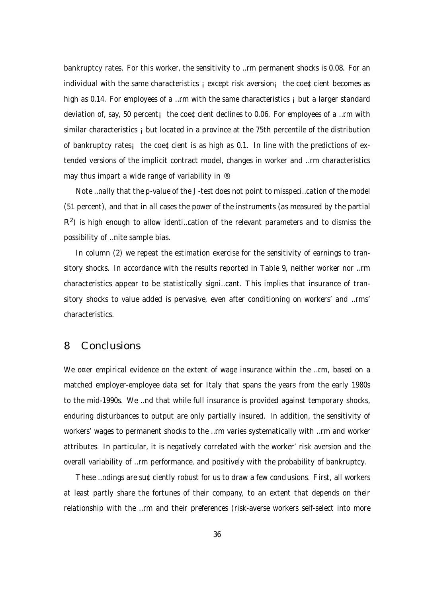bankruptcy rates. For this worker, the sensitivity to …rm permanent shocks is 0.08. For an individual with the same characteristics  $\mathbf{i}$  except risk aversion $\mathbf{i}$  the coe¢cient becomes as high as 0.14. For employees of a …rm with the same characteristics i but a larger standard deviation of, say, 50 percent; the coe $\text{\textcircled{c}}$  declines to 0.06. For employees of a ...rm with similar characteristics i but located in a province at the 75th percentile of the distribution of bankruptcy rates; the coe $\&$ cient is as high as 0.1. In line with the predictions of extended versions of the implicit contract model, changes in worker and …rm characteristics may thus impart a wide range of variability in ®.

Note …nally that the p-value of the J-test does not point to misspeci…cation of the model (51 percent), and that in all cases the power of the instruments (as measured by the partial  $R<sup>2</sup>$ ) is high enough to allow identi...cation of the relevant parameters and to dismiss the possibility of …nite sample bias.

In column (2) we repeat the estimation exercise for the sensitivity of earnings to transitory shocks. In accordance with the results reported in Table 9, neither worker nor …rm characteristics appear to be statistically signi…cant. This implies that insurance of transitory shocks to value added is pervasive, even after conditioning on workers' and …rms' characteristics.

## 8 Conclusions

We o¤er empirical evidence on the extent of wage insurance within the …rm, based on a matched employer-employee data set for Italy that spans the years from the early 1980s to the mid-1990s. We …nd that while full insurance is provided against temporary shocks, enduring disturbances to output are only partially insured. In addition, the sensitivity of workers' wages to permanent shocks to the …rm varies systematically with …rm and worker attributes. In particular, it is negatively correlated with the worker' risk aversion and the overall variability of …rm performance, and positively with the probability of bankruptcy.

These …ndings are su¢ciently robust for us to draw a few conclusions. First, all workers at least partly share the fortunes of their company, to an extent that depends on their relationship with the …rm and their preferences (risk-averse workers self-select into more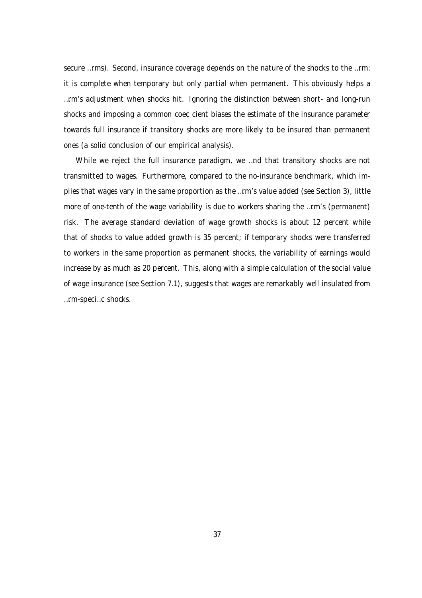secure …rms). Second, insurance coverage depends on the nature of the shocks to the …rm: it is complete when temporary but only partial when permanent. This obviously helps a …rm's adjustment when shocks hit. Ignoring the distinction between short- and long-run shocks and imposing a common coe¢cient biases the estimate of the insurance parameter towards full insurance if transitory shocks are more likely to be insured than permanent ones (a solid conclusion of our empirical analysis).

While we reject the full insurance paradigm, we …nd that transitory shocks are not transmitted to wages. Furthermore, compared to the no-insurance benchmark, which implies that wages vary in the same proportion as the …rm's value added (see Section 3), little more of one-tenth of the wage variability is due to workers sharing the …rm's (permanent) risk. The average standard deviation of wage growth shocks is about 12 percent while that of shocks to value added growth is 35 percent; if temporary shocks were transferred to workers in the same proportion as permanent shocks, the variability of earnings would increase by as much as 20 percent. This, along with a simple calculation of the social value of wage insurance (see Section 7.1), suggests that wages are remarkably well insulated from …rm-speci…c shocks.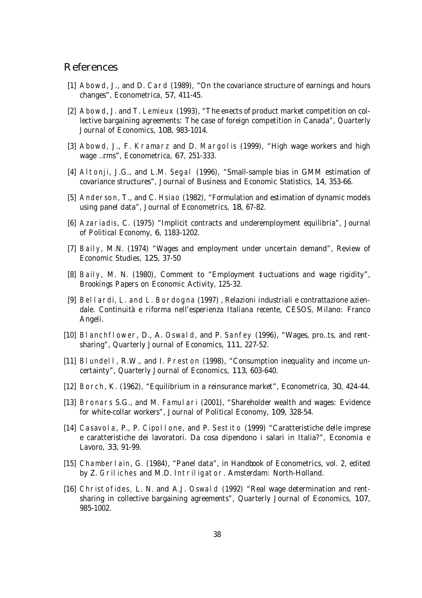## References

- [1] Abowd, J., and D. Card (1989), "On the covariance structure of earnings and hours changes", Econometrica, 57, 411-45.
- [2] Abowd, J. and T. Lemieux (1993), "The e¤ects of product market competition on collective bargaining agreements: The case of foreign competition in Canada", Quarterly Journal of Economics, 108, 983-1014.
- [3] Abowd, J., F. Kramarz and D. Margol is (1999), "High wage workers and high wage …rms", Econometrica, 67, 251-333.
- [4] Altonji, J.G., and L.M. Segal (1996), "Small-sample bias in GMM estimation of covariance structures", Journal of Business and Economic Statistics, 14, 353-66.
- [5] Anderson, T., and C. Hsiao (1982), "Formulation and estimation of dynamic models using panel data", Journal of Econometrics, 18, 67-82.
- [6] Azariadis, C. (1975) "Implicit contracts and underemployment equilibria", Journal of Political Economy, 6, 1183-1202.
- [7] Baily, M.N. (1974) "Wages and employment under uncertain demand", Review of Economic Studies, 125, 37-50
- [8] Baily, M. N. (1980), Comment to "Employment ‡uctuations and wage rigidity", Brookings Papers on Economic Activity, 125-32.
- [9] Bellardi, L. and L. Bordogna (1997) , Relazioni industriali e contrattazione aziendale. Continuità e riforma nell'esperienza Italiana recente, CESOS, Milano: Franco Angeli.
- [10] BI anchflower, D., A. Oswald, and P. Sanfey (1996), "Wages, pro...ts, and rentsharing", Quarterly Journal of Economics, 111, 227-52.
- [11] Blundell, R.W., and I. Preston (1998), "Consumption inequality and income uncertainty", Quarterly Journal of Economics, 113, 603-640.
- [12] Borch, K. (1962), "Equilibrium in a reinsurance market", Econometrica, 30, 424-44.
- [13] Bronars S.G., and M. Famulari (2001), "Shareholder wealth and wages: Evidence for white-collar workers", Journal of Political Economy, 109, 328-54.
- [14] Casavola, P., P. Cipollone, and P. Sestito (1999) "Caratteristiche delle imprese e caratteristiche dei lavoratori. Da cosa dipendono i salari in Italia?", Economia e Lavoro, 33, 91-99.
- [15] Chamberlain, G. (1984), "Panel data", in Handbook of Econometrics, vol. 2, edited by Z. Griliches and M.D. Intriligator. Amsterdam: North-Holland.
- [16] Christofides, L. N. and A.J. Oswald (1992) "Real wage determination and rentsharing in collective bargaining agreements", Quarterly Journal of Economics, 107, 985-1002.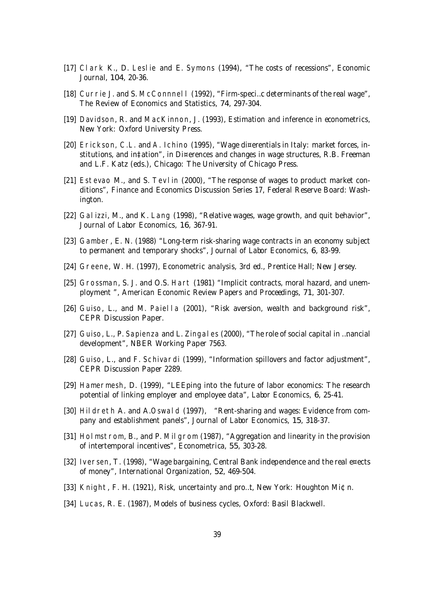- [17] Clark K., D. Leslie and E. Symons (1994), "The costs of recessions", Economic Journal, 104, 20-36.
- [18] Currie J. and S. McConnnel I (1992), "Firm-speci...c determinants of the real wage", The Review of Economics and Statistics, 74, 297-304.
- [19] Davidson, R. and MacKinnon, J. (1993), Estimation and inference in econometrics, New York: Oxford University Press.
- [20] Erickson, C.L. and A. Ichino (1995), "Wage di¤erentials in Italy: market forces, institutions, and in‡ation", in Di¤erences and changes in wage structures, R.B. Freeman and L.F. Katz (eds.), Chicago: The University of Chicago Press.
- [21] Estevao M., and S. Tevlin (2000), "The response of wages to product market conditions", Finance and Economics Discussion Series 17, Federal Reserve Board: Washington.
- [22] Galizzi, M., and K. Lang (1998), "Relative wages, wage growth, and quit behavior", Journal of Labor Economics, 16, 367-91.
- [23] Gamber, E. N. (1988) "Long-term risk-sharing wage contracts in an economy subject to permanent and temporary shocks", Journal of Labor Economics, 6, 83-99.
- [24] Greene, W. H. (1997), Econometric analysis, 3rd ed., Prentice Hall; New Jersey.
- [25] Grossman, S. J. and O.S. Hart (1981) "Implicit contracts, moral hazard, and unemployment ", American Economic Review Papers and Proceedings, 71, 301-307.
- [26] Guiso, L., and M. Paiella (2001), "Risk aversion, wealth and background risk", CEPR Discussion Paper.
- [27] Guiso, L., P. Sapienza and L. Zingales (2000), "The role of social capital in ... nancial development", NBER Working Paper 7563.
- [28] Guiso, L., and F. Schivardi (1999), "Information spillovers and factor adjustment", CEPR Discussion Paper 2289.
- [29] Hamermesh, D. (1999), "LEEping into the future of labor economics: The research potential of linking employer and employee data", Labor Economics, 6, 25-41.
- [30] Hildreth A. and A.Oswald (1997), "Rent-sharing and wages: Evidence from company and establishment panels", Journal of Labor Economics, 15, 318-37.
- [31] Holmstrom, B., and P. Milgrom (1987), "Aggregation and linearity in the provision of intertemporal incentives", Econometrica, 55, 303-28.
- [32] Iversen, T. (1998), "Wage bargaining, Central Bank independence and the real e¤ects of money", International Organization, 52, 469-504.
- [33] Knight, F. H. (1921), Risk, uncertainty and pro…t, New York: Houghton Mi¢n.
- [34] Lucas, R. E. (1987), Models of business cycles, Oxford: Basil Blackwell.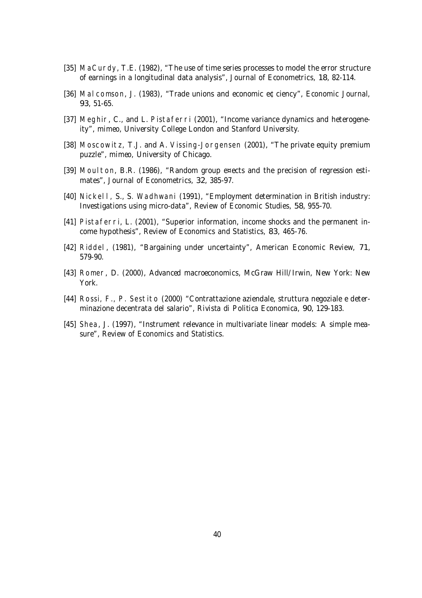- [35] MaCurdy, T.E. (1982), "The use of time series processes to model the error structure of earnings in a longitudinal data analysis", Journal of Econometrics, 18, 82-114.
- [36] Malcomson, J. (1983), "Trade unions and economic e¢ciency", Economic Journal, 93, 51-65.
- [37] Meghir, C., and L. Pistaferri (2001), "Income variance dynamics and heterogeneity", mimeo, University College London and Stanford University.
- [38] Moscowitz, T.J. and A. Vissing-Jorgensen (2001), "The private equity premium puzzle", mimeo, University of Chicago.
- [39] Moulton, B.R. (1986), "Random group e¤ects and the precision of regression estimates", Journal of Econometrics, 32, 385-97.
- [40] Nickel I, S., S. Wadhwani (1991), "Employment determination in British industry: Investigations using micro-data", Review of Economic Studies, 58, 955-70.
- [41] Pistaferri, L. (2001), "Superior information, income shocks and the permanent income hypothesis", Review of Economics and Statistics, 83, 465-76.
- [42] Riddel, (1981), "Bargaining under uncertainty", American Economic Review, 71, 579-90.
- [43] Romer, D. (2000), Advanced macroeconomics, McGraw Hill/Irwin, New York: New York.
- [44] Rossi, F., P. Sestito (2000) "Contrattazione aziendale, struttura negoziale e determinazione decentrata del salario", Rivista di Politica Economica, 90, 129-183.
- [45] Shea, J. (1997), "Instrument relevance in multivariate linear models: A simple measure", Review of Economics and Statistics.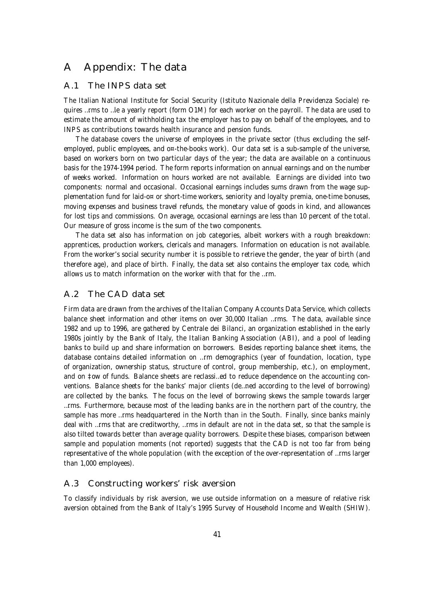## A Appendix: The data

#### A.1 The INPS data set

The Italian National Institute for Social Security (Istituto Nazionale della Previdenza Sociale) requires …rms to …le a yearly report (form O1M) for each worker on the payroll. The data are used to estimate the amount of withholding tax the employer has to pay on behalf of the employees, and to INPS as contributions towards health insurance and pension funds.

The database covers the universe of employees in the private sector (thus excluding the selfemployed, public employees, and o¤-the-books work). Our data set is a sub-sample of the universe, based on workers born on two particular days of the year; the data are available on a continuous basis for the 1974-1994 period. The form reports information on annual earnings and on the number of weeks worked. Information on hours worked are not available. Earnings are divided into two components: normal and occasional. Occasional earnings includes sums drawn from the wage supplementation fund for laid-o¤ or short-time workers, seniority and loyalty premia, one-time bonuses, moving expenses and business travel refunds, the monetary value of goods in kind, and allowances for lost tips and commissions. On average, occasional earnings are less than 10 percent of the total. Our measure of gross income is the sum of the two components.

The data set also has information on job categories, albeit workers with a rough breakdown: apprentices, production workers, clericals and managers. Information on education is not available. From the worker's social security number it is possible to retrieve the gender, the year of birth (and therefore age), and place of birth. Finally, the data set also contains the employer tax code, which allows us to match information on the worker with that for the …rm.

## A.2 The CAD data set

Firm data are drawn from the archives of the Italian Company Accounts Data Service, which collects balance sheet information and other items on over 30,000 Italian …rms. The data, available since 1982 and up to 1996, are gathered by Centrale dei Bilanci, an organization established in the early 1980s jointly by the Bank of Italy, the Italian Banking Association (ABI), and a pool of leading banks to build up and share information on borrowers. Besides reporting balance sheet items, the database contains detailed information on …rm demographics (year of foundation, location, type of organization, ownership status, structure of control, group membership, etc.), on employment, and on ‡ow of funds. Balance sheets are reclassi…ed to reduce dependence on the accounting conventions. Balance sheets for the banks' major clients (de…ned according to the level of borrowing) are collected by the banks. The focus on the level of borrowing skews the sample towards larger …rms. Furthermore, because most of the leading banks are in the northern part of the country, the sample has more ...rms headquartered in the North than in the South. Finally, since banks mainly deal with …rms that are creditworthy, …rms in default are not in the data set, so that the sample is also tilted towards better than average quality borrowers. Despite these biases, comparison between sample and population moments (not reported) suggests that the CAD is not too far from being representative of the whole population (with the exception of the over-representation of …rms larger than 1,000 employees).

#### A.3 Constructing workers' risk aversion

To classify individuals by risk aversion, we use outside information on a measure of relative risk aversion obtained from the Bank of Italy's 1995 Survey of Household Income and Wealth (SHIW).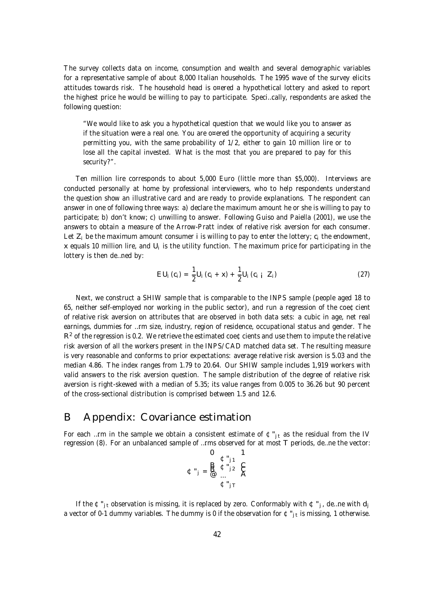The survey collects data on income, consumption and wealth and several demographic variables for a representative sample of about 8,000 Italian households. The 1995 wave of the survey elicits attitudes towards risk. The household head is o¤ered a hypothetical lottery and asked to report the highest price he would be willing to pay to participate. Speci…cally, respondents are asked the following question:

"We would like to ask you a hypothetical question that we would like you to answer as if the situation were a real one. You are o¤ered the opportunity of acquiring a security permitting you, with the same probability of 1/2, either to gain 10 million lire or to lose all the capital invested. What is the most that you are prepared to pay for this security?".

Ten million lire corresponds to about 5,000 Euro (little more than \$5,000). Interviews are conducted personally at home by professional interviewers, who to help respondents understand the question show an illustrative card and are ready to provide explanations. The respondent can answer in one of following three ways: a) declare the maximum amount he or she is willing to pay to participate; b) don't know; c) unwilling to answer. Following Guiso and Paiella (2001), we use the answers to obtain a measure of the Arrow-Pratt index of relative risk aversion for each consumer. Let  $Z_i$  be the maximum amount consumer i is willing to pay to enter the lottery;  $c_i$  the endowment, x equals 10 million lire, and U<sub>i</sub> is the utility function. The maximum price for participating in the lottery is then de…ned by:

$$
EU_i (c_i) = \frac{1}{2} U_i (c_i + x) + \frac{1}{2} U_i (c_{i i} Z_i)
$$
 (27)

Next, we construct a SHIW sample that is comparable to the INPS sample (people aged 18 to 65, neither self-employed nor working in the public sector), and run a regression of the coe¢cient of relative risk aversion on attributes that are observed in both data sets: a cubic in age, net real earnings, dummies for …rm size, industry, region of residence, occupational status and gender. The  $R<sup>2</sup>$  of the regression is 0.2. We retrieve the estimated coe  $\mathbb C$  cients and use them to impute the relative risk aversion of all the workers present in the INPS/CAD matched data set. The resulting measure is very reasonable and conforms to prior expectations: average relative risk aversion is 5.03 and the median 4.86. The index ranges from 1.79 to 20.64. Our SHIW sample includes 1,919 workers with valid answers to the risk aversion question. The sample distribution of the degree of relative risk aversion is right-skewed with a median of 5.35; its value ranges from 0.005 to 36.26 but 90 percent of the cross-sectional distribution is comprised between 1.5 and 12.6.

## B Appendix: Covariance estimation

For each …rm in the sample we obtain a consistent estimate of  $\varphi_{j}$  as the residual from the IV regression (8). For an unbalanced sample of …rms observed for at most T periods, de…ne the vector:

$$
\mathbf{C} \mathbf{u}_{j} = \mathbf{B} \mathbf{B} \mathbf{v}_{j1} \mathbf{C} \mathbf{A}
$$

$$
\mathbf{C} \mathbf{u}_{j} = \mathbf{B} \mathbf{B} \mathbf{A} \mathbf{B} \mathbf{A} \mathbf{A}
$$

If the  $\mathfrak{C}''_{\mathfrak{p}t}$  observation is missing, it is replaced by zero. Conformably with  $\mathfrak{C}''_{\mathfrak{p}t}$ , de...ne with  $d_i$ a vector of 0-1 dummy variables. The dummy is 0 if the observation for  $\mathfrak{C}''_{\mathfrak{f}t}$  is missing, 1 otherwise.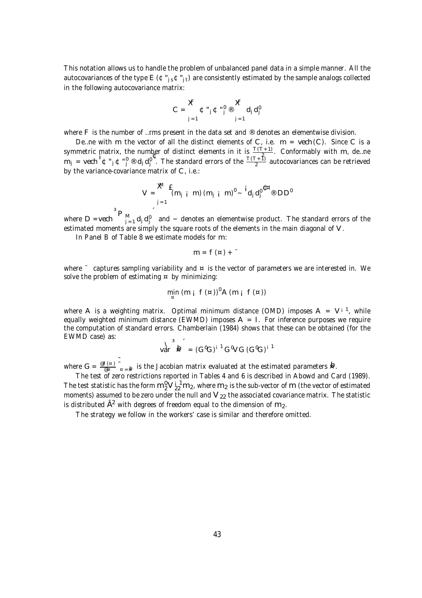This notation allows us to handle the problem of unbalanced panel data in a simple manner. All the autocovariances of the type  $E(\mathfrak{C}^n{}_{is}\mathfrak{C}^n{}_{it})$  are consistently estimated by the sample analogs collected in the following autocovariance matrix:

$$
C = \frac{\boldsymbol{X}}{\boldsymbol{j} = 1} \boldsymbol{\Phi} \cdot \boldsymbol{j} \boldsymbol{\Phi} \cdot \boldsymbol{j} \circledast \frac{\boldsymbol{X}}{\boldsymbol{j} = 1} d_j d_j^0
$$

where F is the number of ...rms present in the data set and ® denotes an elementwise division.

De ... ne with m the vector of all the distinct elements of C, i.e.  $m =$  vech (C). Since C is a symmetric matrix, the number of distinct elements in it is  $\frac{\Gamma(\Gamma+1)}{2}$  $\frac{+11}{2}$ . Conformably with m, de...ne  $m_j$  = vech  ${}^1 \Phi$ "<sub>j</sub>  $\Phi$ " $j$  ® d<sub>j</sub> d $j$ ". The standard errors of the  $\frac{T(T+1)}{2}$  $\frac{+11}{2}$  autocovariances can be retrieved by the variance-covariance matrix of C, i.e.:

$$
V = \sum_{j=1}^{M} \mathbf{f}_{(m_{j} \mid i-m)} (m_{j} \mid m)^{i} \sim \mathbf{i}_{d_{j} d_{j}^{i}} \mathbf{f}^{m} \otimes DD^{i}
$$

where D =vech  $\mathsf{P}_{\mathsf{M}_{\mathsf{j}=1}}^{\mathsf{M}}$  d<sub>j</sub> d<sub>j</sub> and ~ denotes an elementwise product. The standard errors of the estimated moments are simply the square roots of the elements in the main diagonal of V.

In Panel B of Table 8 we estimate models for m:

$$
m = f(\alpha) +
$$

where  $\degree$  captures sampling variability and  $\alpha$  is the vector of parameters we are interested in. We solve the problem of estimating  $\alpha$  by minimizing:

$$
\min_{\alpha} (m_i f(\alpha))^0 A(m_i f(\alpha))
$$

where A is a weighting matrix. Optimal minimum distance (OMD) imposes  $A = V^{i-1}$ , while equally weighted minimum distance (EWMD) imposes  $A = I$ . For inference purposes we require the computation of standard errors. Chamberlain (1984) shows that these can be obtained (for the EWMD case) as:

$$
\text{Var}^3 \, \mathbf{b} = (G^0 G)^{i-1} G^0 V G (G^0 G)^{i-1}
$$

where  $G = \frac{\text{e}f(x)}{\text{e}g}$  $\frac{f(x)}{g(x)}$   $\bar{g}$  is the Jacobian matrix evaluated at the estimated parameters **b**.

The test of zero restrictions reported in Tables 4 and 6 is described in Abowd and Card (1989). The test statistic has the form  $m_2^0{\rm V}_{22}^{1.1}{\rm m}_2$ , where  ${\rm m}_2$  is the sub-vector of  ${\rm m}$  (the vector of estimated moments) assumed to be zero under the null and  $V_{22}$  the associated covariance matrix. The statistic is distributed  $\hat{\mathsf{A}}^2$  with degrees of freedom equal to the dimension of  $\mathsf{m}_2.$ 

The strategy we follow in the workers' case is similar and therefore omitted.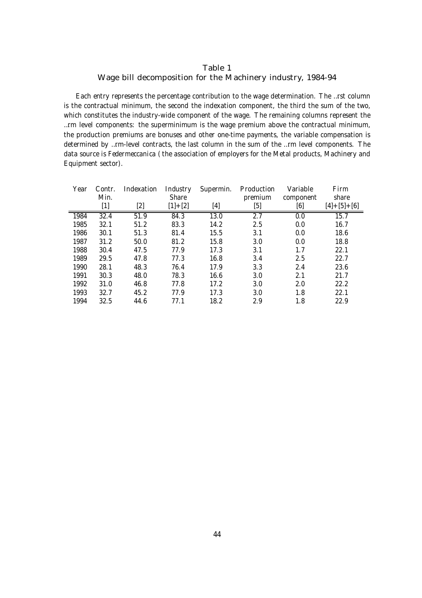#### Table 1 Wage bill decomposition for the Machinery industry, 1984-94

Each entry represents the percentage contribution to the wage determination. The …rst column is the contractual minimum, the second the indexation component, the third the sum of the two, which constitutes the industry-wide component of the wage. The remaining columns represent the …rm level components: the superminimum is the wage premium above the contractual minimum, the production premiums are bonuses and other one-time payments, the variable compensation is determined by …rm-level contracts, the last column in the sum of the …rm level components. The data source is Federmeccanica ( the association of employers for the Metal products, Machinery and Equipment sector).

| Year | Contr. | Indexation | Industry  | Supermin. | Production | Variable  | Firm              |
|------|--------|------------|-----------|-----------|------------|-----------|-------------------|
|      | Min.   |            | Share     |           | premium    | component | share             |
|      | $[1]$  | [2]        | $[1]+[2]$ | [4]       | [5]        | [6]       | $[4] + [5] + [6]$ |
| 1984 | 32.4   | 51.9       | 84.3      | 13.0      | 2.7        | 0.0       | 15.7              |
| 1985 | 32.1   | 51.2       | 83.3      | 14.2      | 2.5        | 0.0       | 16.7              |
| 1986 | 30.1   | 51.3       | 81.4      | 15.5      | 3.1        | 0.0       | 18.6              |
| 1987 | 31.2   | 50.0       | 81.2      | 15.8      | 3.0        | 0.0       | 18.8              |
| 1988 | 30.4   | 47.5       | 77.9      | 17.3      | 3.1        | 1.7       | 22.1              |
| 1989 | 29.5   | 47.8       | 77.3      | 16.8      | 3.4        | 2.5       | 22.7              |
| 1990 | 28.1   | 48.3       | 76.4      | 17.9      | 3.3        | 2.4       | 23.6              |
| 1991 | 30.3   | 48.0       | 78.3      | 16.6      | 3.0        | 2.1       | 21.7              |
| 1992 | 31.0   | 46.8       | 77.8      | 17.2      | 3.0        | 2.0       | 22.2              |
| 1993 | 32.7   | 45.2       | 77.9      | 17.3      | 3.0        | 1.8       | 22.1              |
| 1994 | 32.5   | 44.6       | 77.1      | 18.2      | 2.9        | 1.8       | 22.9              |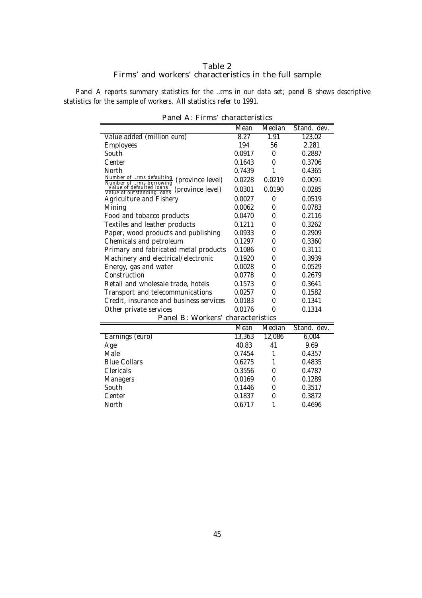#### Table 2 Firms' and workers' characteristics in the full sample

Panel A reports summary statistics for the ...rms in our data set; panel B shows descriptive statistics for the sample of workers. All statistics refer to 1991.

| $0.101 \, \text{m}$ . 1 $11113$                                            | <b>UNIQUADE ISLI</b> |        |             |
|----------------------------------------------------------------------------|----------------------|--------|-------------|
|                                                                            | Mean                 | Median | Stand. dev. |
| Value added (million euro)                                                 | 8.27                 | 1.91   | 123.02      |
| <b>Employees</b>                                                           | 194                  | 56     | 2,281       |
| South                                                                      | 0.0917               | 0      | 0.2887      |
| Center                                                                     | 0.1643               | 0      | 0.3706      |
| North                                                                      | 0.7439               | 1      | 0.4365      |
| Number of rms defaulting<br>Number of rms borrowing<br>(province level)    | 0.0228               | 0.0219 | 0.0091      |
| Value of defaulted loans<br>Value of outstanding loans<br>(province level) | 0.0301               | 0.0190 | 0.0285      |
| Agriculture and Fishery                                                    | 0.0027               | 0      | 0.0519      |
| Mining                                                                     | 0.0062               | 0      | 0.0783      |
| Food and tobacco products                                                  | 0.0470               | 0      | 0.2116      |
| Textiles and leather products                                              | 0.1211               | 0      | 0.3262      |
| Paper, wood products and publishing                                        | 0.0933               | 0      | 0.2909      |
| Chemicals and petroleum                                                    | 0.1297               | 0      | 0.3360      |
| Primary and fabricated metal products                                      | 0.1086               | 0      | 0.3111      |
| Machinery and electrical/electronic                                        | 0.1920               | 0      | 0.3939      |
| Energy, gas and water                                                      | 0.0028               | 0      | 0.0529      |
| Construction                                                               | 0.0778               | 0      | 0.2679      |
| Retail and wholesale trade, hotels                                         | 0.1573               | 0      | 0.3641      |
| Transport and telecommunications                                           | 0.0257               | 0      | 0.1582      |
| Credit, insurance and business services                                    | 0.0183               | 0      | 0.1341      |
| Other private services                                                     | 0.0176               | 0      | 0.1314      |
| Panel B: Workers' characteristics                                          |                      |        |             |
|                                                                            | Mean                 | Median | Stand. dev. |
| Earnings (euro)                                                            | 13,363               | 12,086 | 6,004       |
| Age                                                                        | 40.83                | 41     | 9.69        |
| Male                                                                       | 0.7454               | 1      | 0.4357      |
| <b>Blue Collars</b>                                                        | 0.6275               | 1      | 0.4835      |
| Clericals                                                                  | 0.3556               | 0      | 0.4787      |
| Managers                                                                   | 0.0169               | 0      | 0.1289      |
| South                                                                      | 0.1446               | 0      | 0.3517      |
| Center                                                                     | 0.1837               | 0      | 0.3872      |
| North                                                                      | 0.6717               | 1      | 0.4696      |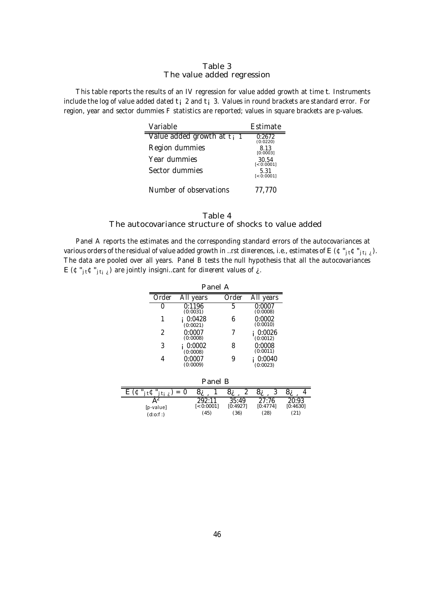#### Table 3 The value added regression

This table reports the results of an IV regression for value added growth at time t. Instruments include the log of value added dated  $t_i$  2 and  $t_i$  3. Values in round brackets are standard error. For region, year and sector dummies F statistics are reported; values in square brackets are p-values.

| Variable                               | Estimate             |
|----------------------------------------|----------------------|
| Value added growth at t <sub>i</sub> 1 | 0:2672<br>(0:0220)   |
| Region dummies                         | 8.13<br>[0:0003]     |
| Year dummies                           | 30.54<br>$[-0:0001]$ |
| Sector dummies                         | 5.31<br>$[-0.0001]$  |
| Number of observations                 | 77,770               |

#### Table 4 The autocovariance structure of shocks to value added

Panel A reports the estimates and the corresponding standard errors of the autocovariances at various orders of the residual of value added growth in …rst di¤erences, i.e., estimates of E ( $\mathfrak{C}''_{j\mathfrak{t}}\mathfrak{C}''_{j\mathfrak{t}}$ <sub>i</sub>). The data are pooled over all years. Panel B tests the null hypothesis that all the autocovariances E ( $\mathfrak{C}$ "<sub>jti i</sub>) are jointly insigni...cant for di¤erent values of  $\chi$ .

| Panel A |                    |       |                    |  |  |  |  |  |
|---------|--------------------|-------|--------------------|--|--|--|--|--|
| Order   | All years          | Order | All years          |  |  |  |  |  |
|         | 0:1196<br>(0:0031) | h     | 0:0007<br>(0:0008) |  |  |  |  |  |
|         | 0:0428<br>(0:0021) |       | 0:0002<br>(0:0010) |  |  |  |  |  |
| 2       | 0:0007<br>(0:0008) |       | 0:0026<br>(0:0012) |  |  |  |  |  |
| 3       | 0:0002<br>(0:0008) |       | 0:0008<br>(0:0011) |  |  |  |  |  |
|         | 0:0007<br>(0:0009) |       | 0:0040<br>(0:0023) |  |  |  |  |  |

| Panel B               |             |          |          |          |  |  |  |
|-----------------------|-------------|----------|----------|----------|--|--|--|
| $=$<br>്ഗ<br>്ഗ<br>൦ഺ |             |          |          |          |  |  |  |
|                       | 702.11      | 35:49    | 27:76    | 20:93    |  |  |  |
| [p-value]             | $[-0.0001]$ | [0:4927] | [0:4774] | [0:4630] |  |  |  |
| (d:0:1)               | (45)        | (36)     | (28)     | (21)     |  |  |  |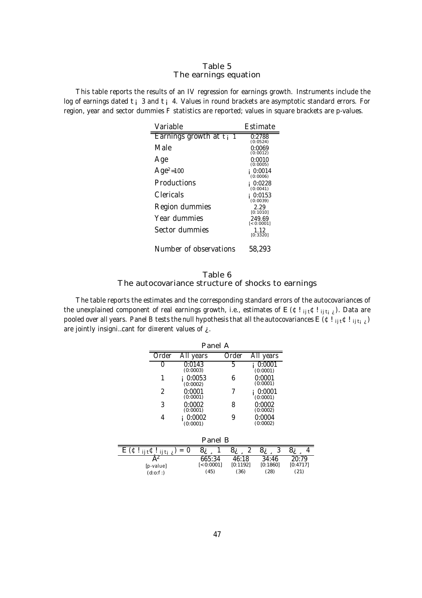#### Table 5 The earnings equation

This table reports the results of an IV regression for earnings growth. Instruments include the log of earnings dated t<sub>i</sub> 3 and t<sub>i</sub> 4. Values in round brackets are asymptotic standard errors. For region, year and sector dummies F statistics are reported; values in square brackets are p-values.

| Variable                   | Estimate              |
|----------------------------|-----------------------|
| Earnings growth at $t_i$ 1 | 0:2788<br>(0:0524)    |
| Male                       | 0:0069<br>(0:0012)    |
| Age                        | 0:0010<br>(0:0005)    |
| $Age2=100$                 | 0:0014<br>(0:0006)    |
| Productions                | 0:0228<br>(0:0041)    |
| Clericals                  | 0:0153<br>(0:0039)    |
| Region dummies             | 2.29<br>[0:1010]      |
| Year dummies               | 249.69<br>$[-0.0001]$ |
| Sector dummies             | 1.12<br>[0:3320]      |
| Number of observations     | 58,293                |

#### Table 6 The autocovariance structure of shocks to earnings

The table reports the estimates and the corresponding standard errors of the autocovariances of the unexplained component of real earnings growth, i.e., estimates of E ( $\text{C}!$ ! ijti $\text{C}$ ). Data are pooled over all years. Panel B tests the null hypothesis that all the autocovariances E ( $\text{C}!$ ! ijti $\text{C}$ ) are jointly insigni…cant for di¤erent values of ¿ .

| Panel A                                                                                                                                               |           |                    |                     |  |                   |   |                    |   |                   |   |
|-------------------------------------------------------------------------------------------------------------------------------------------------------|-----------|--------------------|---------------------|--|-------------------|---|--------------------|---|-------------------|---|
|                                                                                                                                                       | Order     | All years          |                     |  | Order             |   | All years          |   |                   |   |
|                                                                                                                                                       | 0         | 0:0143<br>(0:0003) |                     |  | 5                 |   | 0:0001<br>(0:0001) |   |                   |   |
|                                                                                                                                                       |           | (0:0002)           | 0:0053              |  | 6                 |   | 0:0001<br>(0:0001) |   |                   |   |
|                                                                                                                                                       | 2         | 0:0001<br>(0:0001) |                     |  | 7                 |   | 0:0001<br>(0:0001) |   |                   |   |
|                                                                                                                                                       | 3         | 0:0002<br>(0:0001) |                     |  | 8                 |   | 0:0002<br>(0:0002) |   |                   |   |
|                                                                                                                                                       | 4         | (0:0001)           | 0:0002              |  | 9                 |   | 0:0004<br>(0:0002) |   |                   |   |
| Panel B                                                                                                                                               |           |                    |                     |  |                   |   |                    |   |                   |   |
| $\overline{\mathsf{E}\left(\mathsf{\Phi}!\right.}{}_{\mathsf{i}\mathsf{j}\mathsf{t}}\mathsf{\Phi}!\right._{\mathsf{i}\mathsf{j}\mathsf{t}\mathsf{j}}$ |           | $= 0$              | 8¿                  |  | 8į                | 2 | 8¿                 | 3 | 8¿                | 4 |
|                                                                                                                                                       | [p-value] |                    | 665:34<br>[<0:0001] |  | 46:18<br>[0:1192] |   | 34:46<br>[0:1860]  |   | 20:79<br>[0:4717] |   |

(45)

(36)

(28)

(21)

 $(d:0:1)$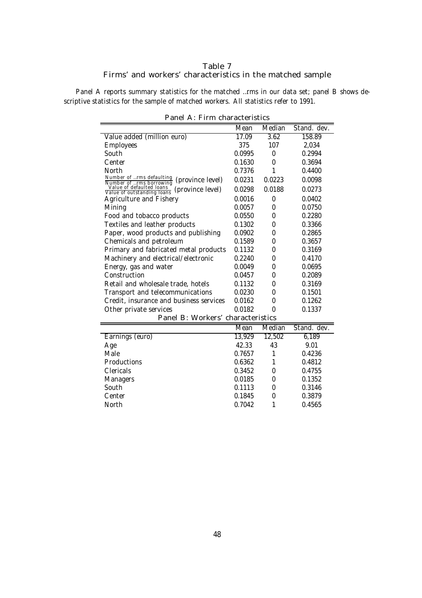#### Table 7 Firms' and workers' characteristics in the matched sample

Panel A reports summary statistics for the matched ... rms in our data set; panel B shows descriptive statistics for the sample of matched workers. All statistics refer to 1991.

|                                                                            | Mean   | Median | Stand. dev. |  |  |  |
|----------------------------------------------------------------------------|--------|--------|-------------|--|--|--|
| Value added (million euro)                                                 | 17.09  | 3.62   | 158.89      |  |  |  |
| <b>Employees</b>                                                           | 375    | 107    | 2,034       |  |  |  |
| South                                                                      | 0.0995 | 0      | 0.2994      |  |  |  |
| Center                                                                     | 0.1630 | 0      | 0.3694      |  |  |  |
| North                                                                      | 0.7376 | 1      | 0.4400      |  |  |  |
| Number of rms defaulting<br>(province level)<br>Number of rms borrowing    | 0.0231 | 0.0223 | 0.0098      |  |  |  |
| Value of defaulted loans<br>(province level)<br>Value of outstanding loans | 0.0298 | 0.0188 | 0.0273      |  |  |  |
| Agriculture and Fishery                                                    | 0.0016 | 0      | 0.0402      |  |  |  |
| Mining                                                                     | 0.0057 | 0      | 0.0750      |  |  |  |
| Food and tobacco products                                                  | 0.0550 | 0      | 0.2280      |  |  |  |
| Textiles and leather products                                              | 0.1302 | 0      | 0.3366      |  |  |  |
| Paper, wood products and publishing                                        | 0.0902 | 0      | 0.2865      |  |  |  |
| Chemicals and petroleum                                                    | 0.1589 | 0      | 0.3657      |  |  |  |
| Primary and fabricated metal products                                      | 0.1132 | 0      | 0.3169      |  |  |  |
| Machinery and electrical/electronic                                        | 0.2240 | 0      | 0.4170      |  |  |  |
| Energy, gas and water                                                      | 0.0049 | 0      | 0.0695      |  |  |  |
| Construction                                                               | 0.0457 | 0      | 0.2089      |  |  |  |
| Retail and wholesale trade, hotels                                         | 0.1132 | 0      | 0.3169      |  |  |  |
| Transport and telecommunications                                           | 0.0230 | 0      | 0.1501      |  |  |  |
| Credit, insurance and business services                                    | 0.0162 | 0      | 0.1262      |  |  |  |
| Other private services                                                     | 0.0182 | 0      | 0.1337      |  |  |  |
| Panel B: Workers' characteristics                                          |        |        |             |  |  |  |
|                                                                            | Mean   | Median | Stand. dev. |  |  |  |
| Earnings (euro)                                                            | 13,929 | 12,502 | 6,189       |  |  |  |
| Age                                                                        | 42.33  | 43     | 9.01        |  |  |  |
| Male                                                                       | 0.7657 | 1      | 0.4236      |  |  |  |
| Productions                                                                | 0.6362 | 1      | 0.4812      |  |  |  |
| Clericals                                                                  | 0.3452 | 0      | 0.4755      |  |  |  |
| Managers                                                                   | 0.0185 | 0      | 0.1352      |  |  |  |
| South                                                                      | 0.1113 | 0      | 0.3146      |  |  |  |
| Center                                                                     | 0.1845 | 0      | 0.3879      |  |  |  |

|  | Panel A: Firm characteristics |
|--|-------------------------------|
|  |                               |

North 0.7042 1 0.4565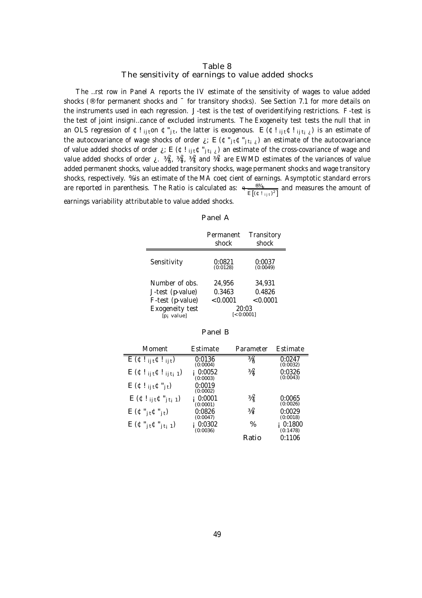#### Table 8 The sensitivity of earnings to value added shocks

The …rst row in Panel A reports the IV estimate of the sensitivity of wages to value added shocks (® for permanent shocks and  $^-$  for transitory shocks). See Section 7.1 for more details on the instruments used in each regression. J-test is the test of overidentifying restrictions. F-test is the test of joint insigni…cance of excluded instruments. The Exogeneity test tests the null that in an OLS regression of  $E!_{ij}$ ton  $E"_{jt}$ , the latter is exogenous.  $E(E!_{ij}E!)_{ij}$  is an estimate of the autocovariance of wage shocks of order  $i: E(\mathfrak{C}^*_{j\restriction t}(E))$  an estimate of the autocovariance of value added shocks of order  $\chi$ ; E ( $\text{C}!$  i<sub>jt</sub> $\text{C}$ "<sub>jti $\chi$ </sub>) an estimate of the cross-covariance of wage and value added shocks of order  $\zeta$ .  $\frac{3}{4}a_v^2$ ,  $\frac{3}{4}a_v^2$  and  $\frac{3}{4}a_v^2$  are EWMD estimates of the variances of value added permanent shocks, value added transitory shocks, wage permanent shocks and wage transitory shocks, respectively. % is an estimate of the MA coe¢cient of earnings. Asymptotic standard errors are reported in parenthesis. The Ratio is calculated as:  $\frac{e^{i\theta}A_{u}}{E[(e^{i\theta}+i\theta^{u})^{2}]}$  and measures the amount of earnings variability attributable to value added shocks.

#### Panel A

|                                                                          | Permanent<br>shock                    | Transitory<br>shock          |
|--------------------------------------------------------------------------|---------------------------------------|------------------------------|
| Sensitivity                                                              | 0:0821<br>(0:0128)                    | 0:0037<br>(0:0049)           |
| Number of obs<br>J-test (p-value)<br>F-test (p-value)<br>Exogeneity test | 24.956<br>0.3463<br>< 0.0001<br>20:03 | 34.931<br>0.4826<br>< 0.0001 |
| [p <sub>i</sub> value]                                                   | $[-0:0001]$                           |                              |

| Moment                                                       | Estimate           | Parameter                  | Estimate           |
|--------------------------------------------------------------|--------------------|----------------------------|--------------------|
| $\overline{E(\Phi _{ij} \Phi _{ij} t)}$                      | 0:0136<br>(0:0004) | $\frac{3}{4}$              | 0:0247<br>(0:0032) |
| $E(\Phi!_{ijt}\Phi!_{ijti1})$                                | 0:0052<br>(0:0003) | $\frac{3}{4}$              | 0:0326<br>(0:0043) |
| $E(\Phi!_{ijt}\Phi"_{jt})$                                   | 0:0019<br>(0:0002) |                            |                    |
| $E(\Phi!_{ijt}\Phi"_{jti}1)$                                 | 0:0001<br>(0:0001) | $\frac{3}{4}$              | 0:0065<br>(0:0026) |
| $E(\mathbf{C}''_{i} \mathbf{t} \mathbf{C}''_{i} \mathbf{t})$ | 0:0826<br>(0:0047) | $\frac{3}{4}$ <sup>2</sup> | 0:0029<br>(0:0018) |
| $E(\mathfrak{C}''_{jt}\mathfrak{C}''_{jt-1})$                | 0:0302<br>(0:0036) | $\%$                       | 0:1800<br>(0:1478) |
|                                                              |                    | Ratio                      | 0:1106             |

#### Panel B

Ē,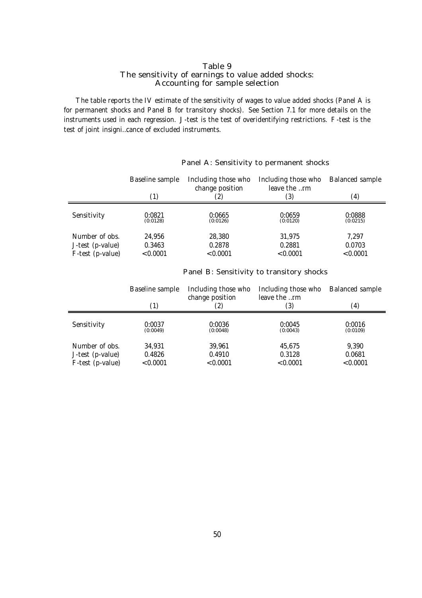#### Table 9 The sensitivity of earnings to value added shocks: Accounting for sample selection

The table reports the IV estimate of the sensitivity of wages to value added shocks (Panel A is for permanent shocks and Panel B for transitory shocks). See Section 7.1 for more details on the instruments used in each regression. J-test is the test of overidentifying restrictions. F-test is the test of joint insigni…cance of excluded instruments.

|                  | Baseline sample | Including those who<br>change position | Including those who<br>leave the rm | Balanced sample |
|------------------|-----------------|----------------------------------------|-------------------------------------|-----------------|
|                  | (1)             |                                        | (3)                                 | (4)             |
| Sensitivity      | 0:0821          | 0:0665                                 | 0:0659                              | 0:0888          |
|                  | (0:0128)        | (0:0126)                               | (0:0120)                            | (0:0215)        |
| Number of obs.   | 24.956          | 28,380                                 | 31,975                              | 7.297           |
| J-test (p-value) | 0.3463          | 0.2878                                 | 0.2881                              | 0.0703          |
| F-test (p-value) | < 0.0001        | < 0.0001                               | < 0.0001                            | < 0.0001        |

#### Panel A: Sensitivity to permanent shocks

#### Panel B: Sensitivity to transitory shocks

|                  | Baseline sample<br>(1) | Including those who<br>change position<br>(2) | Including those who<br>leave the rm<br>(3) | <b>Balanced sample</b><br>(4) |
|------------------|------------------------|-----------------------------------------------|--------------------------------------------|-------------------------------|
|                  |                        |                                               |                                            |                               |
| Sensitivity      | 0:0037                 | 0:0036                                        | 0:0045                                     | 0:0016                        |
|                  | (0:0049)               | (0:0048)                                      | (0:0043)                                   | (0:0109)                      |
| Number of obs.   | 34,931                 | 39.961                                        | 45,675                                     | 9.390                         |
| J-test (p-value) | 0.4826                 | 0.4910                                        | 0.3128                                     | 0.0681                        |
| F-test (p-value) | < 0.0001               | < 0.0001                                      | < 0.0001                                   | < 0.0001                      |